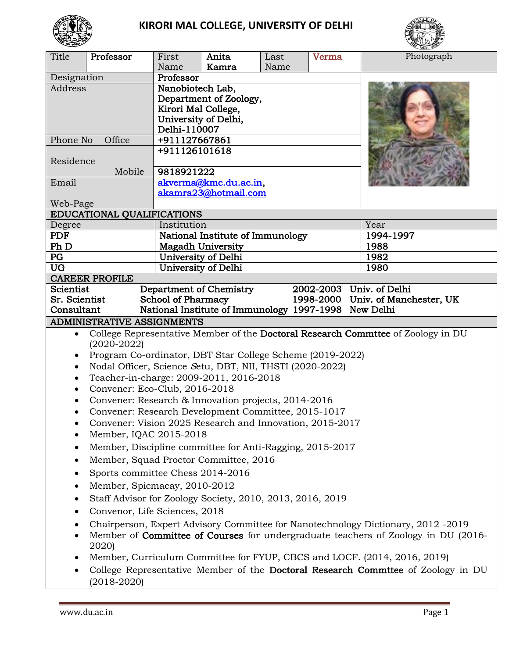

# **KIRORI MAL COLLEGE, UNIVERSITY OF DELHI**



| Name<br>Kamra<br>Name<br>Professor<br>Designation<br>Nanobiotech Lab,<br>Address<br>Department of Zoology,<br>Kirori Mal College,<br>University of Delhi,<br>Delhi-110007 |                                                                                  |  |  |  |  |
|---------------------------------------------------------------------------------------------------------------------------------------------------------------------------|----------------------------------------------------------------------------------|--|--|--|--|
|                                                                                                                                                                           |                                                                                  |  |  |  |  |
|                                                                                                                                                                           |                                                                                  |  |  |  |  |
|                                                                                                                                                                           |                                                                                  |  |  |  |  |
|                                                                                                                                                                           |                                                                                  |  |  |  |  |
|                                                                                                                                                                           |                                                                                  |  |  |  |  |
|                                                                                                                                                                           |                                                                                  |  |  |  |  |
| Phone No<br>Office<br>+911127667861                                                                                                                                       |                                                                                  |  |  |  |  |
| +911126101618                                                                                                                                                             |                                                                                  |  |  |  |  |
| Residence                                                                                                                                                                 |                                                                                  |  |  |  |  |
| Mobile<br>9818921222                                                                                                                                                      |                                                                                  |  |  |  |  |
| akverma@kmc.du.ac.in,<br>Email                                                                                                                                            |                                                                                  |  |  |  |  |
| akamra23@hotmail.com                                                                                                                                                      |                                                                                  |  |  |  |  |
| Web-Page                                                                                                                                                                  |                                                                                  |  |  |  |  |
| EDUCATIONAL QUALIFICATIONS                                                                                                                                                |                                                                                  |  |  |  |  |
| Year<br>Institution<br>Degree                                                                                                                                             |                                                                                  |  |  |  |  |
| National Institute of Immunology<br>1994-1997<br><b>PDF</b>                                                                                                               |                                                                                  |  |  |  |  |
| Ph D<br>1988<br><b>Magadh University</b>                                                                                                                                  |                                                                                  |  |  |  |  |
| PG<br>University of Delhi<br>1982                                                                                                                                         |                                                                                  |  |  |  |  |
| <b>UG</b><br>University of Delhi<br>1980                                                                                                                                  |                                                                                  |  |  |  |  |
| <b>CAREER PROFILE</b>                                                                                                                                                     |                                                                                  |  |  |  |  |
| 2002-2003 Univ. of Delhi<br>Scientist<br>Department of Chemistry                                                                                                          |                                                                                  |  |  |  |  |
| 1998-2000 Univ. of Manchester, UK<br>Sr. Scientist<br><b>School of Pharmacy</b>                                                                                           |                                                                                  |  |  |  |  |
| National Institute of Immunology 1997-1998 New Delhi<br>Consultant                                                                                                        |                                                                                  |  |  |  |  |
| <b>ADMINISTRATIVE ASSIGNMENTS</b>                                                                                                                                         |                                                                                  |  |  |  |  |
| College Representative Member of the Doctoral Research Commttee of Zoology in DU<br>$\bullet$<br>$(2020 - 2022)$                                                          |                                                                                  |  |  |  |  |
| Program Co-ordinator, DBT Star College Scheme (2019-2022)<br>٠                                                                                                            |                                                                                  |  |  |  |  |
| Nodal Officer, Science Setu, DBT, NII, THSTI (2020-2022)<br>$\bullet$                                                                                                     |                                                                                  |  |  |  |  |
| Teacher-in-charge: 2009-2011, 2016-2018<br>$\bullet$                                                                                                                      |                                                                                  |  |  |  |  |
| Convener: Eco-Club, 2016-2018<br>$\bullet$                                                                                                                                |                                                                                  |  |  |  |  |
| Convener: Research & Innovation projects, 2014-2016<br>$\bullet$                                                                                                          |                                                                                  |  |  |  |  |
| Convener: Research Development Committee, 2015-1017<br>$\bullet$                                                                                                          |                                                                                  |  |  |  |  |
| Convener: Vision 2025 Research and Innovation, 2015-2017                                                                                                                  |                                                                                  |  |  |  |  |
| Member, IQAC 2015-2018                                                                                                                                                    |                                                                                  |  |  |  |  |
| Member, Discipline committee for Anti-Ragging, 2015-2017<br>$\bullet$                                                                                                     |                                                                                  |  |  |  |  |
| Member, Squad Proctor Committee, 2016<br>$\bullet$                                                                                                                        |                                                                                  |  |  |  |  |
| Sports committee Chess 2014-2016<br>٠                                                                                                                                     |                                                                                  |  |  |  |  |
| Member, Spicmacay, 2010-2012<br>٠                                                                                                                                         |                                                                                  |  |  |  |  |
| Staff Advisor for Zoology Society, 2010, 2013, 2016, 2019<br>٠                                                                                                            |                                                                                  |  |  |  |  |
| $\bullet$                                                                                                                                                                 | Convenor, Life Sciences, 2018                                                    |  |  |  |  |
|                                                                                                                                                                           | Chairperson, Expert Advisory Committee for Nanotechnology Dictionary, 2012 -2019 |  |  |  |  |
| Member of Committee of Courses for undergraduate teachers of Zoology in DU (2016-                                                                                         |                                                                                  |  |  |  |  |
| 2020)                                                                                                                                                                     |                                                                                  |  |  |  |  |
| Member, Curriculum Committee for FYUP, CBCS and LOCF. (2014, 2016, 2019)<br>٠                                                                                             |                                                                                  |  |  |  |  |
| College Representative Member of the Doctoral Research Commttee of Zoology in DU<br>$\bullet$<br>$(2018 - 2020)$                                                          |                                                                                  |  |  |  |  |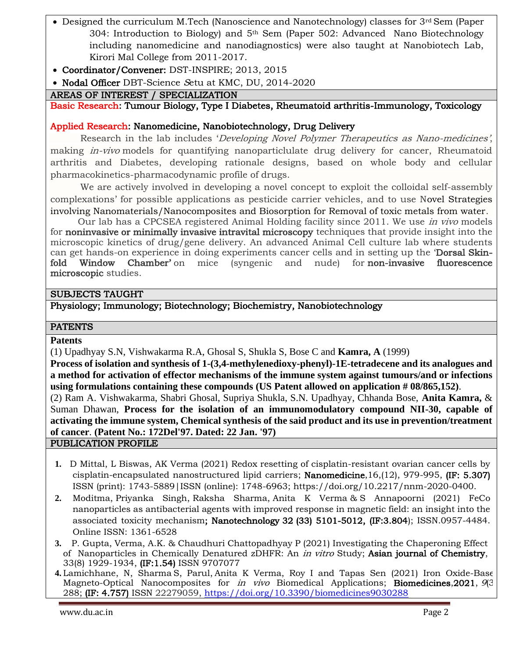- Designed the curriculum M.Tech (Nanoscience and Nanotechnology) classes for 3<sup>rd</sup> Sem (Paper 304: Introduction to Biology) and  $5<sup>th</sup>$  Sem (Paper 502: Advanced Nano Biotechnology including nanomedicine and nanodiagnostics) were also taught at Nanobiotech Lab, Kirori Mal College from 2011-2017.
- Coordinator/Convener: DST-INSPIRE; 2013, 2015
- Nodal Officer DBT-Science Setu at KMC, DU, 2014-2020

#### AREAS OF INTEREST / SPECIALIZATION

Basic Research: Tumour Biology, Type I Diabetes, Rheumatoid arthritis-Immunology, Toxicology

#### Applied Research: Nanomedicine, Nanobiotechnology, Drug Delivery

Research in the lab includes 'Developing Novel Polymer Therapeutics as Nano-medicines', making *in-vivo* models for quantifying nanoparticlulate drug delivery for cancer, Rheumatoid arthritis and Diabetes, developing rationale designs, based on whole body and cellular pharmacokinetics-pharmacodynamic profile of drugs.

We are actively involved in developing a novel concept to exploit the colloidal self-assembly complexations' for possible applications as pesticide carrier vehicles, and to use Novel Strategies involving Nanomaterials/Nanocomposites and Biosorption for Removal of toxic metals from water.

Our lab has a CPCSEA registered Animal Holding facility since 2011. We use *in vivo* models for **noninvasive or minimally invasive intravital microscopy** techniques that provide insight into the microscopic kinetics of drug/gene delivery. An advanced Animal Cell culture lab where students can get hands-on experience in doing experiments cancer cells and in setting up the 'Dorsal Skinfold Window Chamber' on mice (syngenic and nude) for non-invasive fluorescence microscopic studies.

#### SUBJECTS TAUGHT

Physiology; Immunology; Biotechnology; Biochemistry, Nanobiotechnology

#### **PATENTS**

#### **Patents**

(1) Upadhyay S.N, Vishwakarma R.A, Ghosal S, Shukla S, Bose C and **Kamra, A** (1999)

**Process of isolation and synthesis of 1-(3,4-methylenedioxy-phenyl)-1E-tetradecene and its analogues and a method for activation of effector mechanisms of the immune system against tumours/and or infections using formulations containing these compounds (US Patent allowed on application # 08/865,152)**.

(2) Ram A. Vishwakarma, Shabri Ghosal, Supriya Shukla, S.N. Upadhyay, Chhanda Bose, **Anita Kamra,** & Suman Dhawan, **Process for the isolation of an immunomodulatory compound NII-30, capable of activating the immune system, Chemical synthesis of the said product and its use in prevention/treatment of cancer**. **(Patent No.: 172Del'97. Dated: 22 Jan. '97)**

PUBLICATION PROFILE

- **1.** D Mittal, L Biswas, AK Verma (2021) [Redox resetting of cisplatin-resistant ovarian cancer cells by](https://scholar.google.co.in/scholar?oi=bibs&cluster=15669644109499615072&btnI=1&hl=en)  [cisplatin-encapsulated nanostructured lipid carriers;](https://scholar.google.co.in/scholar?oi=bibs&cluster=15669644109499615072&btnI=1&hl=en) Nanomedicine,16,(12), 979-995, (IF: 5.307) ISSN (print): 1743-5889|ISSN (online): 1748-6963; [https://doi.org/10.2217/nnm-2020-0400.](https://doi.org/10.2217/nnm-2020-0400)
- **2.** Moditma, Priyanka Singh, Raksha Sharma, Anita K Verma & S Annapoorni (2021) FeCo nanoparticles as antibacterial agents with improved response in magnetic field: an insight into the associated toxicity mechanism; Nanotechnology 32 (33) 5101-5012, (IF:3.804); ISSN.0957-4484. Online ISSN: 1361-6528
- **3.** P. Gupta, Verma, A.K. & Chaudhuri Chattopadhyay P (2021) Investigating the Chaperoning Effect of Nanoparticles in Chemically Denatured zDHFR: An *in vitro* Study; Asian journal of Chemistry, 33(8) 1929-1934, (IF:1.54) ISSN 9707077
- **4.** Lamichhane, N, Sharma S, Parul, Anita K Verma, Roy I and Tapas Sen (2021) Iron Oxide-Based Magneto-Optical Nanocomposites for *in vivo* Biomedical Applications; **Biomedicines**, 2021, 9(3) 288; (IF: 4.757) ISSN 22279059,<https://doi.org/10.3390/biomedicines9030288>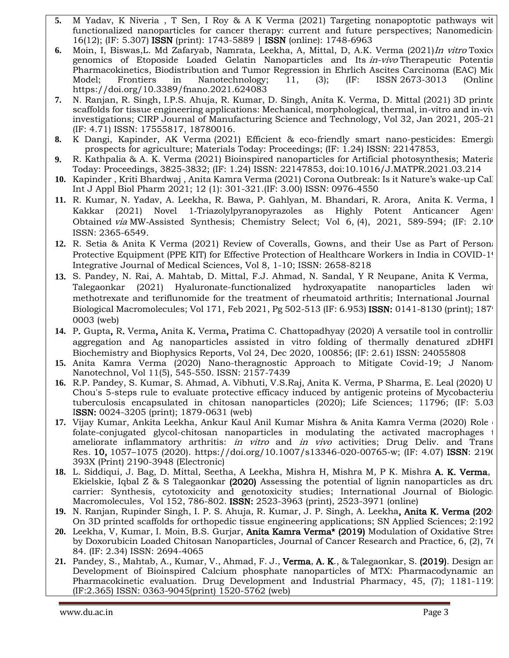- **5.** M Yadav, K Niveria , T Sen, I Roy & A K Verma (2021) Targeting nonapoptotic pathways with functionalized nanoparticles for cancer therapy: current and future perspectives; Nanomedicing 16(12); (IF: 5.307) ISSN (print): 1743-5889 | ISSN (online): 1748-6963
- **6.** Moin, I, Biswas,L. Md Zafaryab, Namrata, Leekha, A, Mittal, D, A.K. Verma (2021)In vitro Toxicogenomics of Etoposide Loaded Gelatin Nanoparticles and Its *in-vivo* Therapeutic Potentia Pharmacokinetics, Biodistribution and Tumor Regression in Ehrlich Ascites Carcinoma (EAC) Mice Model; Frontiers in Nanotechnology; 11, (3); (IF: ISSN 2673-3013 (Online) <https://doi.org/10.3389/fnano.2021.624083>
- **7.** N. [Ranjan,](https://www.sciencedirect.com/science/article/abs/pii/S1755581721000018#!) R. [Singh,](https://www.sciencedirect.com/science/article/abs/pii/S1755581721000018#!) I.P.S. [Ahuja, R. Kumar,](https://www.sciencedirect.com/science/article/abs/pii/S1755581721000018#!) [D. Singh, Anita K.](https://www.sciencedirect.com/science/article/abs/pii/S1755581721000018#!) Verma, D. [Mittal](https://www.sciencedirect.com/science/article/abs/pii/S1755581721000018#!) (2021) 3D printed scaffolds for tissue engineering applications: Mechanical, morphological, thermal, in-vitro and in-viv investigations; [CIRP Journal of Manufacturing Science and Technology,](https://www.sciencedirect.com/science/journal/17555817) [Vol 32,](https://www.sciencedirect.com/science/journal/17555817/32/supp/C) Jan 2021, 205-216 (IF: 4.71) ISSN: 17555817, 18780016.
- **8.** K Dangi, Kapinder, AK Verma (2021) [Efficient & eco-friendly smart nano-pesticides: Emerging](https://scholar.google.co.in/scholar?oi=bibs&cluster=2737550806830304004&btnI=1&hl=en)  [prospects for agriculture;](https://scholar.google.co.in/scholar?oi=bibs&cluster=2737550806830304004&btnI=1&hl=en) Materials Today: Proceedings; (IF: 1.24) ISSN: 22147853,
- **9.** R. Kathpalia & A. K. Verma (2021) Bioinspired nanoparticles for Artificial photosynthesis; Materials Today: Proceedings, 3825-3832; (IF: 1.24) ISSN: 22147853, doi:10.1016/J.MATPR.2021.03.214
- **10.** Kapinder , Kriti Bhardwaj , Anita Kamra Verma (2021) Corona Outbreak: Is it Nature's wake-up Call?; Int J Appl Biol Pharm 2021; 12 (1): 301-321.(IF: 3.00) ISSN: 0976-4550
- 11. [R. Kumar,](https://chemistry-europe.onlinelibrary.wiley.com/action/doSearch?ContribAuthorStored=Kumar%2C+Rakesh) N. Yadav, [A. Leekha,](https://chemistry-europe.onlinelibrary.wiley.com/action/doSearch?ContribAuthorStored=Leekha%2C+Ankita) [R. Bawa,](https://chemistry-europe.onlinelibrary.wiley.com/action/doSearch?ContribAuthorStored=Bawa%2C+Rashim) [P. Gahlyan,](https://chemistry-europe.onlinelibrary.wiley.com/action/doSearch?ContribAuthorStored=Gahlyan%2C+Parveen) [M. Bhandari,](https://chemistry-europe.onlinelibrary.wiley.com/action/doSearch?ContribAuthorStored=Bhandari%2C+Mamta) [R. Arora,](https://chemistry-europe.onlinelibrary.wiley.com/action/doSearch?ContribAuthorStored=Arora%2C+Ritu) [Anita K. Verma,](https://chemistry-europe.onlinelibrary.wiley.com/action/doSearch?ContribAuthorStored=Kamra+Verma%2C+Anita) l [Kakkar](https://chemistry-europe.onlinelibrary.wiley.com/action/doSearch?ContribAuthorStored=Kakkar%2C+Rita) (2021) Novel 1‐Triazolylpyranopyrazoles as Highly Potent Anticancer Agents Obtained via MW-Assisted Synthesis; Chemistry Select; [Vol](https://chemistry-europe.onlinelibrary.wiley.com/toc/23656549/2021/6/4) 6, (4), 2021, 589-594; (IF: 2.10) ISSN: 2365-6549.
- **12.** R. Setia & Anita K Verma (2021) Review of Coveralls, Gowns, and their Use as Part of Personal Protective Equipment (PPE KIT) for Effective Protection of Healthcare Workers in India in COVID-19; Integrative Journal of Medical Sciences, Vol 8, 1-10; ISSN: 2658-8218
- 13. [S. Pandey,](https://www.sciencedirect.com/science/article/abs/pii/S0141813020353848#!) [N. Rai, A. Mahtab, D. Mittal, F.J. Ahmad, N. Sandal, Y](https://www.sciencedirect.com/science/article/abs/pii/S0141813020353848#!) R Neupane, Anita K Verma, Talegaonkar (2021) Hyaluronate-functionalized hydroxyapatite nanoparticles laden with methotrexate and teriflunomide for the treatment of rheumatoid arthritis; International Journal [Biological Macromolecules;](https://www.sciencedirect.com/science/journal/01418130) [Vol 171,](https://www.sciencedirect.com/science/journal/01418130/171/supp/C) Feb 2021, Pg 502-513 (IF: 6.953) **ISSN:** 0141-8130 (print); 187 0003 (web)
- **14.** [P. Gupta, R. Verma, Anita K. Verma, Pratima C. Chattopadhyay](https://www.sciencedirect.com/science/article/pii/S2405580820301667#!) (2020) A versatile tool in controlling aggregation and Ag nanoparticles assisted in vitro folding of thermally denatured zDHFI [Biochemistry and Biophysics Reports,](https://www.sciencedirect.com/science/journal/24055808) [Vol](https://www.sciencedirect.com/science/journal/24055808/24/supp/C) 24, Dec 2020, 100856; (IF: 2.61) ISSN: 24055808
- **15.** Anita Kamra Verma (2020) Nano-theragnostic Approach to Mitigate Covid-19; J Nanome Nanotechnol, Vol 11(5), 545-550. ISSN: 2157-7439
- 16. R.P. Pandey, S. Kumar, S. Ahmad, A. Vibhuti, V.S.Raj, Anita K. Verma, P Sharma, E. Leal (2020) U Chou's 5-steps rule to evaluate protective efficacy induced by antigenic proteins of Mycobacteriu [tuberculosis encapsulated in chitosan nanoparticles](https://www.sciencedirect.com/science/article/pii/S0024320520307116) (2020); Life Sciences; 11796; (IF: 5.03 ISSN: 0024-3205 (print); 1879-0631 (web)
- **17.** Vijay Kumar, Ankita Leekha, Ankur Kaul Anil Kumar Mishra & Anita Kamra Verma (2020) Role of folate-conjugated glycol-chitosan nanoparticles in modulating the activated macrophages to ameliorate inflammatory arthritis: *in vitro* and *in vivo* activities; Drug Deliv. and Trans Res. 10, 1057-1075 (2020). https://doi.org/10.1007/s13346-020-00765-w; (IF: 4.07) ISSN: 2190 393X (Print) 2190-3948 (Electronic)
- 18. L. Siddiqui, J. Bag, D. Mittal, Seetha, A Leekha, Mishra H, Mishra M, P K. Mishra A. K. Verma, Ekielskie, Iqbal  $Z \& S$  Talegaonkar (2020) Assessing the potential of lignin nanoparticles as drug [carrier: Synthesis, cytotoxicity and genotoxicity studies;](https://www.sciencedirect.com/science/article/pii/S0141813020314380) International Journal of Biological [Macromolecules,](https://www.sciencedirect.com/science/journal/01418130) [Vol 152,](https://www.sciencedirect.com/science/journal/01418130/152/supp/C) 786-802. ISSN: 2523-3963 (print), 2523-3971 (online)
- 19. N. Ranjan, Rupinder Singh, I. P. S. Ahuja, R. Kumar, J. P. Singh, A. Leekha, Anita K. Verma (202<sup>1</sup>) On 3D printed scaffolds for orthopedic tissue engineering applications; SN Applied Sciences; 2:192.
- **20.** Leekha, V, Kumar, I. Moin, B.S. Gurjar, Anita Kamra Verma\* (2019) Modulation of Oxidative Stress by Doxorubicin Loaded Chitosan Nanoparticles, Journal of Cancer Research and Practice, 6, (2), 76- 84. (IF: 2.34) ISSN: 2694-4065
- 21. Pandey, S., Mahtab, A., Kumar, V., Ahmad, F. J., Verma, A. K., & Talegaonkar, S. (2019). Design an Development of Bioinspired Calcium phosphate nanoparticles of MTX: Pharmacodynamic an Pharmacokinetic evaluation. Drug Development and Industrial Pharmacy, 45, (7): 1181-119. (IF:2.365) ISSN: 0363-9045(print) 1520-5762 (web)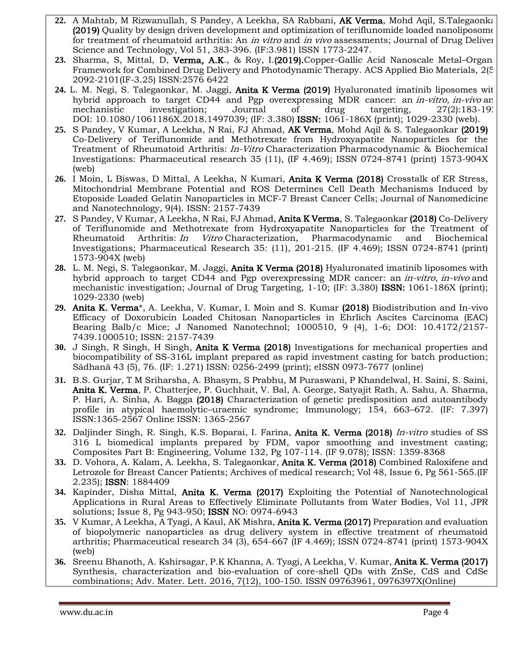- **22.** A Mahtab, M Rizwanullah, S Pandey, A Leekha, SA Rabbani, AK Verma, Mohd Aqil, S.Talegaonkar (2019) Quality by design driven development and optimization of teriflunomide loaded nanoliposomes for treatment of rheumatoid arthritis: An *in vitro* and *in vivo* assessments; Journal of Drug Deliver Science and Technology, Vol 51, 383-396. (IF:3.981) ISSN 1773-2247.
- 23. Sharma, S, Mittal, D, Verma, A.K., & Roy, I. (2019). Copper-Gallic Acid Nanoscale Metal–Organ Framework for Combined Drug Delivery and Photodynamic Therapy. ACS Applied Bio Materials, 2(5), 2092-2101(IF-3.25) ISSN:2576 6422
- **24.** L. M. Negi, S. Talegaonkar, M. Jaggi, Anita K Verma (2019) [Hyaluronated imatinib liposomes with](https://www.tandfonline.com/doi/abs/10.1080/1061186X.2018.1497039)  [hybrid approach to target CD44 and Pgp overexpressing MDR cancer: an](https://www.tandfonline.com/doi/abs/10.1080/1061186X.2018.1497039) *in-vitro, in-vivo* and [mechanistic investigation;](https://www.tandfonline.com/doi/abs/10.1080/1061186X.2018.1497039) Journal of drug targeting,  $27(2):183-19'$ DOI: [10.1080/1061186X.2018.1497039;](https://doi.org/10.1080/1061186x.2018.1497039) (IF: 3.380) ISSN: 1061-186X (print); 1029-2330 (web).
- **25.** S Pandey, V Kumar, A Leekha, N Rai, FJ Ahmad, AK Verma, Mohd Aqil & S. Talegaonkar (2019) [Co-Delivery of Teriflunomide and Methotrexate from Hydroxyapatite Nanoparticles for the](javascript:void(0))  [Treatment of Rheumatoid Arthritis:](javascript:void(0)) In-Vitro Characterization Pharmacodynamic & Biochemical [Investigations: P](javascript:void(0))harmaceutical research 35 (11), (IF 4.469); ISSN [0724-8741](https://www.worldcat.org/search?fq=x0:jrnl&q=n2:0724-8741) (print) [1573-904X](https://www.worldcat.org/search?fq=x0:jrnl&q=n2:1573-904X) (web)
- **26.** I Moin, L Biswas, D Mittal, A Leekha, N Kumari, Anita K Verma (2018) Crosstalk of ER Stress, Mitochondrial Membrane Potential and ROS Determines Cell Death Mechanisms Induced by Etoposide Loaded Gelatin Nanoparticles in MCF-7 Breast Cancer Cells; Journal of Nanomedicine and Nanotechnology, 9(4). ISSN: 2157-7439
- **27.** S Pandey, V Kumar, A Leekha, N Rai, FJ Ahmad, Anita K Verma, S. Talegaonkar (2018) [Co-Delivery](javascript:void(0))  [of Teriflunomide and Methotrexate from Hydroxyapatite Nanoparticles for the Treatment of](javascript:void(0))  [Rheumatoid Arthritis:](javascript:void(0)) In Vitro Characterization, Pharmacodynamic and Biochemical Investigations; Pharmaceutical Research 35: (11), 201-215. (IF 4.469); ISSN [0724-8741](https://www.worldcat.org/search?fq=x0:jrnl&q=n2:0724-8741) (print) [1573-904X](https://www.worldcat.org/search?fq=x0:jrnl&q=n2:1573-904X) (web)
- **28.** L. M. Negi, S. Talegaonkar, M. Jaggi, Anita K Verma (2018) [Hyaluronated imatinib liposomes with](https://www.tandfonline.com/doi/abs/10.1080/1061186X.2018.1497039)  [hybrid approach to target CD44 and Pgp overexpressing MDR cancer: an](https://www.tandfonline.com/doi/abs/10.1080/1061186X.2018.1497039) *in-vitro*, *in-vivo* and [mechanistic investigation;](https://www.tandfonline.com/doi/abs/10.1080/1061186X.2018.1497039) Journal of Drug Targeting, 1-10; (IF: 3.380) ISSN: 1061-186X (print); 1029-2330 (web)
- **29.** Anita K. Verma\*, A. Leekha, V. Kumar, I. Moin and S. Kumar (2018) Biodistribution and In-vivo Efficacy of Doxorubicin Loaded Chitosan Nanoparticles in Ehrlich Ascites Carcinoma (EAC) Bearing Balb/c Mice; J Nanomed Nanotechnol; 1000510, 9 (4), 1-6; DOI: 10.4172/2157- 7439.1000510; ISSN: 2157-7439
- **30.** J Singh, R Singh, H Singh, Anita K Verma (2018) [Investigations for mechanical properties and](javascript:void(0))  [biocompatibility of SS-316L implant prepared as rapid investment casting for batch production;](javascript:void(0)) Sādhanā 43 (5), 76. (IF: 1.271) ISSN: 0256-2499 (print); eISSN 0973-7677 (online)
- **31.** B.S. Gurjar, T M Sriharsha, A. Bhasym, S Prabhu, M Puraswani, P Khandelwal, H. Saini, S. Saini, Anita K. Verma, P. Chatterjee, P. Guchhait, V. Bal, A. George, Satyajit Rath, A. Sahu, A. Sharma, P. Hari, A. Sinha, A. Bagga (2018) [Characterization of genetic predisposition and autoantibody](https://scholar.google.co.in/scholar?oi=bibs&cluster=13692446674401283864&btnI=1&hl=en)  [profile in atypical haemolytic](https://scholar.google.co.in/scholar?oi=bibs&cluster=13692446674401283864&btnI=1&hl=en)–uraemic syndrome; Immunology; 154, 663–672. (IF: 7.397) ISSN:1365-2567 Online ISSN: 1365-2567
- **32.** [Daljinder Singh,](https://www.sciencedirect.com/science/article/pii/S1359836817320838#!) [R. Singh,](https://www.sciencedirect.com/science/article/pii/S1359836817320838#!) K.S. [Boparai, I. Farina, Anita K. Verma](https://www.sciencedirect.com/science/article/pii/S1359836817320838#!) (2018) In-vitro [studies of SS](https://www.sciencedirect.com/science/article/pii/S1359836817320838)  [316 L biomedical implants prepared by FDM, vapor smoothing and investment casting;](https://www.sciencedirect.com/science/article/pii/S1359836817320838) [Composites Part B: Engineering,](https://www.sciencedirect.com/science/journal/13598368) [Volume 132,](https://www.sciencedirect.com/science/journal/13598368/132/supp/C) Pg 107-114. (IF 9.078); ISSN: 1359-8368
- **33.** [D. Vohora, A. Kalam,](https://www.sciencedirect.com/science/article/pii/S018844091730245X#!) A. Leekh[a,](https://www.sciencedirect.com/science/article/pii/S018844091730245X#!) [S. Talegaonkar, Anita K. Verma](https://www.sciencedirect.com/science/article/pii/S018844091730245X#!) (2018) [Combined Raloxifene and](javascript:void(0))  [Letrozole for Breast Cancer Patients;](javascript:void(0)) Archives of medical research; [Vol 48, Issue 6,](https://www.sciencedirect.com/science/journal/01884409/48/6) Pg 561-565.(IF 2.235); ISSN: 1884409
- **34.** Kapinder, Disha Mittal, Anita K. Verma (2017) Exploiting the Potential of Nanotechnological Applications in Rural Areas to Effectively Eliminate Pollutants from Water Bodies, Vol 11, JPR solutions; Issue 8, Pg 943-950; ISSN NO: 0974-6943
- **35.** V Kumar, A Leekha, A Tyagi, A Kaul, AK Mishra, Anita K. Verma (2017) [Preparation and evaluation](https://scholar.google.co.in/citations?view_op=view_citation&hl=en&user=8Z_mLEIAAAAJ&sortby=pubdate&citation_for_view=8Z_mLEIAAAAJ:pqnbT2bcN3wC)  [of biopolymeric nanoparticles as drug delivery system in effective treatment of rheumatoid](https://scholar.google.co.in/citations?view_op=view_citation&hl=en&user=8Z_mLEIAAAAJ&sortby=pubdate&citation_for_view=8Z_mLEIAAAAJ:pqnbT2bcN3wC)  [arthritis;](https://scholar.google.co.in/citations?view_op=view_citation&hl=en&user=8Z_mLEIAAAAJ&sortby=pubdate&citation_for_view=8Z_mLEIAAAAJ:pqnbT2bcN3wC) Pharmaceutical research 34 (3), 654-667 (IF 4.469); ISSN [0724-8741](https://www.worldcat.org/search?fq=x0:jrnl&q=n2:0724-8741) (print) [1573-904X](https://www.worldcat.org/search?fq=x0:jrnl&q=n2:1573-904X) (web)
- **36.** Sreenu Bhanoth, A. Kshirsagar, P.K Khanna, A. Tyagi, A Leekha, V. Kumar, Anita K. Verma (2017) Synthesis, characterization and bio-evaluation of core-shell QDs with ZnSe, CdS and CdSe combinations; Adv. Mater. Lett. 2016, 7(12), 100-150. ISSN 09763961, 0976397X(Online)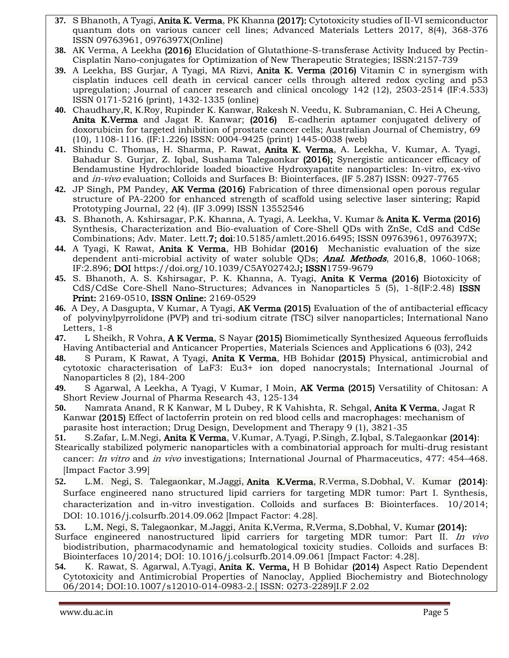- **37.** S Bhanoth, A Tyagi, Anita K. Verma, PK Khanna (2017)[: Cytotoxicity studies of II-VI semiconductor](https://scholar.google.co.in/citations?view_op=view_citation&hl=en&user=8Z_mLEIAAAAJ&sortby=pubdate&citation_for_view=8Z_mLEIAAAAJ:ZHo1McVdvXMC)  [quantum dots on various cancer cell lines;](https://scholar.google.co.in/citations?view_op=view_citation&hl=en&user=8Z_mLEIAAAAJ&sortby=pubdate&citation_for_view=8Z_mLEIAAAAJ:ZHo1McVdvXMC) Advanced Materials Letters 2017, 8(4), 368-376 ISSN 09763961, 0976397X(Online)
- **38.** AK Verma, A Leekha (2016) [Elucidation of Glutathione-S-transferase Activity Induced by Pectin-](https://www.researchgate.net/profile/Ankita_Leekha/publication/305932565_Elucidation_of_Glutathione-S-transferase_Activity_Induced_by_Pectin-_Cisplatin_Nano-conjugates_for_Optimization_of_New_Therapeutic_Strategies/links/57a61a3a08ae455e854113d2.pdf)[Cisplatin Nano-conjugates for Optimization of New Therapeutic Strategies;](https://www.researchgate.net/profile/Ankita_Leekha/publication/305932565_Elucidation_of_Glutathione-S-transferase_Activity_Induced_by_Pectin-_Cisplatin_Nano-conjugates_for_Optimization_of_New_Therapeutic_Strategies/links/57a61a3a08ae455e854113d2.pdf) ISSN:2157-739
- **39.** A Leekha, BS Gurjar, A Tyagi, MA Rizvi, Anita K. Verma (2016) [Vitamin C in synergism with](https://scholar.google.co.in/citations?view_op=view_citation&hl=en&user=8Z_mLEIAAAAJ&sortby=pubdate&citation_for_view=8Z_mLEIAAAAJ:YFjsv_pBGBYC)  [cisplatin induces cell death in cervical cancer cells through altered redox cycling and p53](https://scholar.google.co.in/citations?view_op=view_citation&hl=en&user=8Z_mLEIAAAAJ&sortby=pubdate&citation_for_view=8Z_mLEIAAAAJ:YFjsv_pBGBYC)  [upregulation;](https://scholar.google.co.in/citations?view_op=view_citation&hl=en&user=8Z_mLEIAAAAJ&sortby=pubdate&citation_for_view=8Z_mLEIAAAAJ:YFjsv_pBGBYC) Journal of cancer research and clinical oncology 142 (12), 2503-2514 (IF:4.533) ISSN 0171-5216 (print), 1432-1335 (online)
- **40.** Chaudhary,R, K.Roy, Rupinder K. Kanwar, Rakesh N. Veedu, K. Subramanian, C. Hei A Cheung, Anita K.Verma and Jagat R. Kanwar; (2016) E-cadherin aptamer conjugated delivery of doxorubicin for targeted inhibition of prostate cancer cells; Australian Journal of Chemistry, 69 (10), 1108-1116. (IF:1.226) ISSN: 0004-9425 (print) 1445-0038 (web)
- **41.** Shindu C. Thomas, H. Sharma, P. Rawat, Anita K. Verma, A. Leekha, V. Kumar, A. Tyagi, Bahadur S. Gurjar, Z. Iqbal, Sushama Talegaonkar (2016); Synergistic anticancer efficacy of Bendamustine Hydrochloride loaded bioactive Hydroxyapatite nanoparticles: In-vitro, ex-vivo and *in-vivo* evaluation; Colloids and Surfaces B: Biointerfaces. (IF 5.287) ISSN: 0927-7765
- **42.** JP Singh, PM Pandey, AK Verma (2016) [Fabrication of three dimensional open porous regular](https://scholar.google.co.in/citations?view_op=view_citation&hl=en&user=8Z_mLEIAAAAJ&sortby=pubdate&citation_for_view=8Z_mLEIAAAAJ:maZDTaKrznsC)  [structure of PA-2200 for enhanced strength of](https://scholar.google.co.in/citations?view_op=view_citation&hl=en&user=8Z_mLEIAAAAJ&sortby=pubdate&citation_for_view=8Z_mLEIAAAAJ:maZDTaKrznsC) scaffold using selective laser sintering; Rapid Prototyping Journal, 22 (4). (IF 3.099) ISSN 13552546
- **43.** S. Bhanoth, A. Kshirsagar, P.K. Khanna, A. Tyagi, A. Leekha, V. Kumar & Anita K. Verma (2016) Synthesis, Characterization and Bio-evaluation of Core-Shell QDs with ZnSe, CdS and CdSe Combinations; Adv. Mater. Lett.7; doi[:10.5185/amlett.2016.6495;](http://dx.doi.org/10.5185/amlett.2016.6495) ISSN 09763961, 0976397X;
- **44.** A Tyagi, K Rawat, Anita K Verma, HB Bohidar (2016) [Mechanistic evaluation of the size](https://scholar.google.co.in/citations?view_op=view_citation&hl=en&user=8Z_mLEIAAAAJ&sortby=pubdate&citation_for_view=8Z_mLEIAAAAJ:TFP_iSt0sucC)  [dependent anti-microbial activity of water soluble QDs;](https://scholar.google.co.in/citations?view_op=view_citation&hl=en&user=8Z_mLEIAAAAJ&sortby=pubdate&citation_for_view=8Z_mLEIAAAAJ:TFP_iSt0sucC) **Anal. Methods**, 2016,8, 1060-1068; IF:2.896; DOI [https://doi.org/10.1039/C5AY02742J;](https://doi.org/10.1039/C5AY02742J) ISSN1759-9679
- **45.** S. Bhanoth, A. S. Kshirsagar, P. K. Khanna, A. Tyagi, Anita K Verma (2016) [Biotoxicity of](https://scholar.google.co.in/citations?view_op=view_citation&hl=en&user=8Z_mLEIAAAAJ&sortby=pubdate&citation_for_view=8Z_mLEIAAAAJ:k_IJM867U9cC)  [CdS/CdSe Core-Shell Nano-Structures;](https://scholar.google.co.in/citations?view_op=view_citation&hl=en&user=8Z_mLEIAAAAJ&sortby=pubdate&citation_for_view=8Z_mLEIAAAAJ:k_IJM867U9cC) Advances in Nanoparticles 5 (5), 1-8(IF:2.48) ISSN Print: 2169-0510, ISSN Online: 2169-0529
- **46.** A Dey, A Dasgupta, V Kumar, A Tyagi, AK Verma (2015) [Evaluation of the of antibacterial efficacy](https://scholar.google.co.in/citations?view_op=view_citation&hl=en&user=8Z_mLEIAAAAJ&sortby=pubdate&citation_for_view=8Z_mLEIAAAAJ:j3f4tGmQtD8C)  [of polyvinylpyrrolidone \(PVP\) and tri-sodium citrate \(TSC\) silver nanoparticles;](https://scholar.google.co.in/citations?view_op=view_citation&hl=en&user=8Z_mLEIAAAAJ&sortby=pubdate&citation_for_view=8Z_mLEIAAAAJ:j3f4tGmQtD8C) International Nano Letters, 1-8
- **47.** L Sheikh, R Vohra, A K Verma, S Nayar (2015) [Biomimetically Synthesized Aqueous ferrofluids](https://scholar.google.co.in/citations?view_op=view_citation&hl=en&user=8Z_mLEIAAAAJ&sortby=pubdate&citation_for_view=8Z_mLEIAAAAJ:KlAtU1dfN6UC)  Having [Antibacterial and Anticancer Properties,](https://scholar.google.co.in/citations?view_op=view_citation&hl=en&user=8Z_mLEIAAAAJ&sortby=pubdate&citation_for_view=8Z_mLEIAAAAJ:KlAtU1dfN6UC) Materials Sciences and Applications 6 (03), 242
- **48.** S Puram, K Rawat, A Tyagi, Anita K Verma, HB Bohidar (2015) [Physical, antimicrobial and](https://scholar.google.co.in/citations?view_op=view_citation&hl=en&user=8Z_mLEIAAAAJ&sortby=pubdate&citation_for_view=8Z_mLEIAAAAJ:r0BpntZqJG4C)  [cytotoxic characterisation of LaF3: Eu3+ ion doped nanocrystals;](https://scholar.google.co.in/citations?view_op=view_citation&hl=en&user=8Z_mLEIAAAAJ&sortby=pubdate&citation_for_view=8Z_mLEIAAAAJ:r0BpntZqJG4C) International Journal of Nanoparticles 8 (2), 184-200
- **49.** S Agarwal, A Leekha, A Tyagi, V Kumar, I Moin, AK Verma (2015) [Versatility of Chitosan: A](https://scholar.google.co.in/citations?view_op=view_citation&hl=en&user=8Z_mLEIAAAAJ&sortby=pubdate&citation_for_view=8Z_mLEIAAAAJ:HDshCWvjkbEC)  [Short Review](https://scholar.google.co.in/citations?view_op=view_citation&hl=en&user=8Z_mLEIAAAAJ&sortby=pubdate&citation_for_view=8Z_mLEIAAAAJ:HDshCWvjkbEC) Journal of Pharma Research 43, 125-134
- **50.** [Namrata Anand,](https://www.researchgate.net/profile/Namrata_Anand) [R K Kanwar,](https://www.researchgate.net/researcher/39958573_Rupinder_K_Kanwar) [M L Dubey,](https://www.researchgate.net/profile/Mohan_Dubey2) [R K Vahishta,](https://www.researchgate.net/researcher/2079350682_Rakesh_Kumar_Vahishta) [R. Sehgal,](https://www.researchgate.net/researcher/49434455_Rakesh_Sehgal) [Anita K Verma,](https://www.researchgate.net/profile/Anita_Verma) [Jagat R](https://www.researchgate.net/researcher/39915511_Jagat_R_Kanwar)  [Kanwar](https://www.researchgate.net/researcher/39915511_Jagat_R_Kanwar) (2015) [Effect of lactoferrin protein on red blood cells and macrophages: mechanism of](https://scholar.google.co.in/citations?view_op=view_citation&hl=en&user=8Z_mLEIAAAAJ&sortby=pubdate&citation_for_view=8Z_mLEIAAAAJ:RHpTSmoSYBkC)  [parasite host interaction;](https://scholar.google.co.in/citations?view_op=view_citation&hl=en&user=8Z_mLEIAAAAJ&sortby=pubdate&citation_for_view=8Z_mLEIAAAAJ:RHpTSmoSYBkC) Drug Design, Development and Therapy 9 (1), 3821-35
- **51.** [S.Zafar,](https://www.researchgate.net/researcher/2057687265_Sobiya_Zafar) [L.M.Negi,](https://www.researchgate.net/researcher/80886192_Lalit_Mohan_Negi) [Anita K Verma,](https://www.researchgate.net/researcher/42623126_Anita_Kamra_Verma) [V.Kumar,](https://www.researchgate.net/researcher/2056840091_Vijay_Kumar) [A.Tyagi,](https://www.researchgate.net/researcher/2057667256_Aakriti_Tyagi) [P.Singh,](https://www.researchgate.net/researcher/2057670366_Pratibha_Singh) [Z.Iqbal,](https://www.researchgate.net/researcher/15424133_Zeenat_Iqbal) [S.Talegaonkar](https://www.researchgate.net/researcher/38636195_Sushama_Talegaonkar) (2014):
- [Stearically stabilized polymeric nanoparticles with a combinatorial approach for multi-drug resistant](https://www.researchgate.net/publication/267870127_Sterically_stabilized_polymeric_nanoparticles_with_a_combinatorial_approach_for_multi_drug_resistant_cancer_In_vitro_and_in_vivo_investigations)  cancer: In vitro and in vivo [investigations;](https://www.researchgate.net/publication/267870127_Sterically_stabilized_polymeric_nanoparticles_with_a_combinatorial_approach_for_multi_drug_resistant_cancer_In_vitro_and_in_vivo_investigations) International Journal of Pharmaceutics, 477: 454–468. [Impact Factor 3.99]
- **52.** [L.M. Negi,](https://www.researchgate.net/researcher/80886192_Lalit_Mohan_Negi) [S. Talegaonkar,](https://www.researchgate.net/researcher/38636195_Sushama_Talegaonkar) [M.Jaggi,](https://www.researchgate.net/researcher/38665754_Manu_Jaggi) [Anita K.Verma,](https://www.researchgate.net/researcher/42623126_Anita_Kamra_Verma) [R.Verma,](https://www.researchgate.net/researcher/13462740_Ritu_Verma) [S.Dobhal,](https://www.researchgate.net/researcher/2056863734_Sheetal_Dobhal) [V. Kumar](https://www.researchgate.net/researcher/2056840091_Vijay_Kumar) (2014): [Surface engineered nano structured lipid carriers for targeting MDR tumor: Part I. Synthesis,](https://www.researchgate.net/publication/267456199_Surface_engineered_nano_structured_lipid_carriers_for_targeting_MDR_tumor_Part_I._Synthesis_characterization_and_in-vitro_investigation)  [characterization and in-vitro investigation.](https://www.researchgate.net/publication/267456199_Surface_engineered_nano_structured_lipid_carriers_for_targeting_MDR_tumor_Part_I._Synthesis_characterization_and_in-vitro_investigation) Colloids and surfaces B: Biointerfaces. 10/2014; DOI: 10.1016/j.colsurfb.2014.09.062 [Impact Factor: 4.28].
- **53.** [L.M. Negi,](https://www.researchgate.net/researcher/80886192_Lalit_Mohan_Negi) [S. Talegaonkar,](https://www.researchgate.net/researcher/38636195_Sushama_Talegaonkar) [M.Jaggi,](https://www.researchgate.net/researcher/38665754_Manu_Jaggi) [Anita K.Verma,](https://www.researchgate.net/researcher/42623126_Anita_Kamra_Verma) [R.Verma,](https://www.researchgate.net/researcher/13462740_Ritu_Verma) [S.Dobhal,](https://www.researchgate.net/researcher/2056863734_Sheetal_Dobhal) [V. Kumar](https://www.researchgate.net/researcher/2056840091_Vijay_Kumar) (2014):
- Surface engineered nanostructured lipid carriers for targeting MDR tumor: Part II. In vivo biodistribution, pharmacodynamic and hematological toxicity studies. Colloids and surfaces B: Biointerfaces 10/2014; DOI: 10.1016/j.colsurfb.2014.09.061 [Impact Factor: 4.28].
- **54.** [K. Rawat,](https://www.researchgate.net/researcher/84540046_Kamla_Rawat) [S. Agarwal,](https://www.researchgate.net/researcher/2049380351_Shweta_Agarwal) [A.Tyagi,](https://www.researchgate.net/researcher/2049413924_Aakriti_Tyagi) [Anita K. Verma,](https://www.researchgate.net/researcher/2049427560_Anita_K_Verma) [H B Bohidar](https://www.researchgate.net/researcher/39425397_H_B_Bohidar) (2014) Aspect Ratio Dependent Cytotoxicity and Antimicrobial Properties of Nanoclay, Applied Biochemistry and Biotechnology 06/2014; DOI:10.1007/s12010-014-0983-2.[ ISSN: 0273-2289]I.F 2.02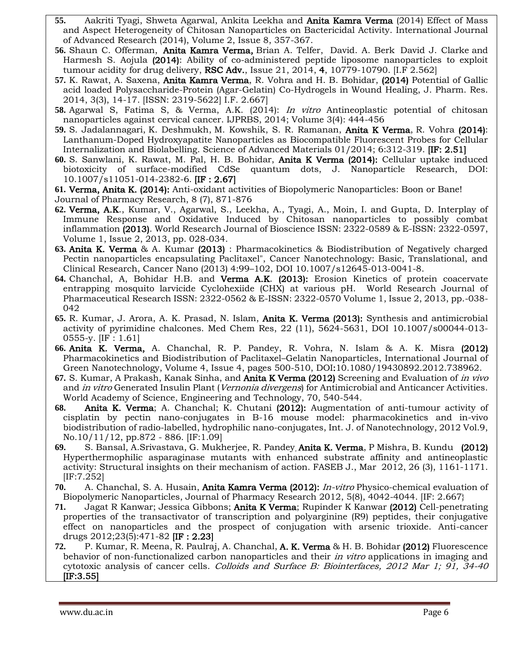- **55.** Aakriti Tyagi, Shweta Agarwal, Ankita Leekha and Anita Kamra Verma (2014) Effect of Mass and Aspect Heterogeneity of Chitosan Nanoparticles on Bactericidal Activity. International Journal of Advanced Research (2014), Volume 2, Issue 8, 357-367.
- **56.** [Shaun C. Offerman,](http://pubs.rsc.org/en/results?searchtext=Author%3AShaun%20C.%20Offerman) [Anita Kamra Verma,](http://pubs.rsc.org/en/results?searchtext=Author%3AAnita%20V.%20Kamra%20Verma) [Brian A. Telfer,](http://pubs.rsc.org/en/results?searchtext=Author%3ABrian%20A.%20Telfer) [David. A. Berk](http://pubs.rsc.org/en/results?searchtext=Author%3ADavid.%20A.%20Berk) [David J. Clarke](http://pubs.rsc.org/en/results?searchtext=Author%3ADavid%20J.%20Clarke) and [Harmesh S. Aojula](http://pubs.rsc.org/en/results?searchtext=Author%3AHarmesh%20S.%20Aojula) (2014): Ability of co-administered peptide liposome nanoparticles to exploit tumour acidity for drug delivery, RSC Adv., Issue 21, 2014, 4, 10779-10790. [I.F 2.562]
- **57.** K. Rawat, A. Saxena, Anita Kamra Verma, R. Vohra and H. B. Bohidar, (2014) Potential of Gallic acid loaded Polysaccharide-Protein (Agar-Gelatin) Co-Hydrogels in Wound Healing, J. Pharm. Res. 2014, 3(3), 14-17. [ISSN: 2319-5622] I.F. 2.667]
- **58.** Agarwal S, Fatima S, & Verma, A.K. (2014): In vitro Antineoplastic potential of chitosan nanoparticles against cervical cancer. IJPRBS, 2014; Volume 3(4): 444-456
- **59.** [S. Jadalannagari,](http://www.researchgate.net/researcher/2024431329_Sushma_Jadalannagari/) [K. Deshmukh,](http://www.researchgate.net/researcher/2034510519_Ketaki_Deshmukh/) [M. Kowshik,](http://www.researchgate.net/researcher/9955082_Meenal_Kowshik/) [S. R. Ramanan,](http://www.researchgate.net/researcher/2024274626_Sutapa_Roy_Ramanan/) Anita K Verma, [R. Vohra](http://www.researchgate.net/researcher/2036005941_Richa_Vohra/) (2014): [Lanthanum-Doped Hydroxyapatite Nanoparticles as Biocompatible Fluorescent Probes for Cellular](http://www.researchgate.net/publication/258422434_Lanthanum-Doped_Hydroxyapatite_Nanoparticles_as_Biocompatible_Fluorescent_Probes_for_Cellular_Internalization_and_Biolabeling)  [Internalization and Biolabelling.](http://www.researchgate.net/publication/258422434_Lanthanum-Doped_Hydroxyapatite_Nanoparticles_as_Biocompatible_Fluorescent_Probes_for_Cellular_Internalization_and_Biolabeling) Science of Advanced Materials 01/2014; 6:312-319. [IF: 2.51]
- **60.** S. Sanwlani, K. Rawat, M. Pal, H. B. Bohidar, Anita K Verma (2014): Cellular uptake induced biotoxicity of surface-modified CdSe quantum dots, J. Nanoparticle Research, DOI: 10.1007/s11051-014-2382-6. [IF : 2.67]

**61.** Verma, Anita K. (2014): Anti-oxidant activities of Biopolymeric Nanoparticles: Boon or Bane! Journal of Pharmacy Research, 8 (7), 871-876

- **62.** Verma, A.K., Kumar, V., Agarwal, S., Leekha, A., Tyagi, A., Moin, I. and Gupta, D. Interplay of Immune Response and Oxidative Induced by Chitosan nanoparticles to possibly combat inflammation (2013). World Research Journal of Bioscience ISSN: 2322-0589 & E-ISSN: 2322-0597, Volume 1, Issue 2, 2013, pp. 028-034.
- **63.** Anita K. Verma & A. Kumar (2013) : Pharmacokinetics & Biodistribution of Negatively charged Pectin nanoparticles encapsulating Paclitaxel", Cancer Nanotechnology: Basic, Translational, and Clinical Research, Cancer Nano (2013) 4:99–102, DOI 10.1007/s12645-013-0041-8.
- **64.** Chanchal, A, Bohidar H.B. and Verma A.K. (2013): Erosion Kinetics of protein coacervate entrapping mosquito larvicide Cyclohexiide (CHX) at various pH. World Research Journal of Pharmaceutical Research ISSN: 2322-0562 & E-ISSN: 2322-0570 Volume 1, Issue 2, 2013, pp.-038- 042
- **65.** R. Kumar, J. Arora, A. K. Prasad, N. Islam, Anita K. Verma (2013): Synthesis and antimicrobial activity of pyrimidine chalcones. Med Chem Res, 22 (11), 5624-5631, DOI 10.1007/s00044-013- 0555-y. [IF : 1.61]
- **66.** Anita K. Verma, A. Chanchal, R. P. Pandey, R. Vohra, N. Islam & A. K. Misra (2012) Pharmacokinetics and Biodistribution of Paclitaxel–Gelatin Nanoparticles, International Journal of Green Nanotechnology, Volume 4, Issue 4, pages 500-510, DOI:10.1080/19430892.2012.738962.
- **67.** S. Kumar, A Prakash, Kanak Sinha, and Anita K Verma (2012) Screening and Evaluation of in vivo and *in vitro* Generated Insulin Plant (*Vernonia divergens*) for Antimicrobial and Anticancer Activities. World Academy of Science, Engineering and Technology, 70, 540-544.
- **68.** Anita K. Verma; A. Chanchal; K. Chutani (2012): Augmentation of anti-tumour activity of cisplatin by pectin nano-conjugates in B-16 mouse model: pharmacokinetics and in-vivo biodistribution of radio-labelled, hydrophilic nano-conjugates, Int. J. of Nanotechnology, 2012 Vol.9, No.10/11/12, pp.872 - 886. [IF:1.09]
- **69.** S. Bansal, A.Srivastava, G. Mukherjee, R. Pandey, Anita K. Verma, P Mishra, B. Kundu (2012) Hyperthermophilic asparaginase mutants with enhanced substrate affinity and antineoplastic activity: Structural insights on their mechanism of action. FASEB J., Mar 2012, 26 (3), 1161-1171. [IF:7.252]
- **70.** A. Chanchal, S. A. Husain, Anita Kamra Verma (2012): In-vitro Physico-chemical evaluation of Biopolymeric Nanoparticles, Journal of Pharmacy Research 2012, 5(8), 4042-4044. [IF: 2.667}
- **71.** Jagat R Kanwar; Jessica Gibbons; Anita K Verma; Rupinder K Kanwar (2012) Cell-penetrating properties of the transactivator of transcription and polyarginine (R9) peptides, their conjugative effect on nanoparticles and the prospect of conjugation with arsenic trioxide. Anti-cancer drugs 2012;23(5):471-82 [IF : 2.23]
- **72.** P. Kumar, R. Meena, R. Paulraj, A. Chanchal, A. K. Verma & H. B. Bohidar (2012) Fluorescence behavior of non-functionalized carbon nanoparticles and their *in vitro* applications in imaging and cytotoxic analysis of cancer cells. Colloids and Surface B: Biointerfaces, 2012 Mar 1; 91, 34-40 [IF:3.55]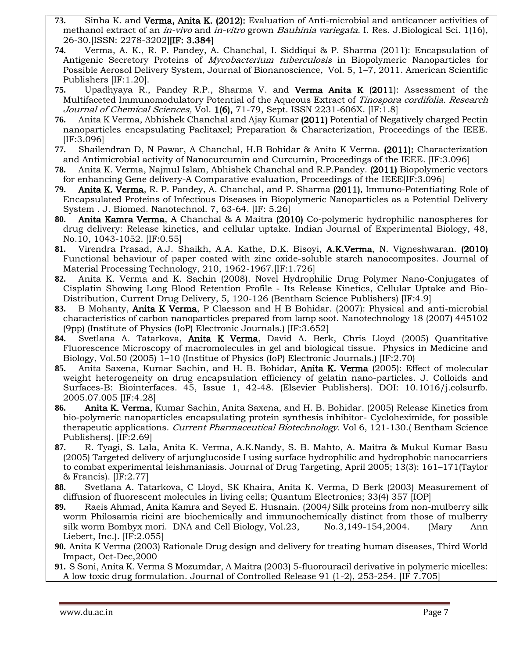- **73.** Sinha K. and Verma, Anita K. (2012): Evaluation of Anti-microbial and anticancer activities of methanol extract of an in-vivo and in-vitro grown Bauhinia variegata. I. Res. J.Biological Sci. 1(16), 26-30.[ISSN: 2278-3202][IF: 3.384]
- **74.** Verma, A. K., R. P. Pandey, A. Chanchal, I. Siddiqui & P. Sharma (2011): Encapsulation of Antigenic Secretory Proteins of Mycobacterium tuberculosis in Biopolymeric Nanoparticles for Possible Aerosol Delivery System, Journal of Bionanoscience, Vol. 5, 1–7, 2011. American Scientific Publishers [IF:1.20].
- **75.** Upadhyaya R., Pandey R.P., Sharma V. and Verma Anita K (2011): Assessment of the Multifaceted Immunomodulatory Potential of the Aqueous Extract of Tinospora cordifolia. Research Journal of Chemical Sciences, Vol. 1(6), 71-79, Sept. ISSN 2231-606X. [IF:1.8]
- **76.** Anita K Verma, Abhishek Chanchal and Ajay Kumar (2011) Potential of Negatively charged Pectin nanoparticles encapsulating Paclitaxel; Preparation & Characterization, Proceedings of the IEEE. [IF:3.096]
- **77.** Shailendran D, N Pawar, A Chanchal, H.B Bohidar & Anita K Verma. (2011): Characterization and Antimicrobial activity of Nanocurcumin and Curcumin, Proceedings of the IEEE. [IF:3.096]
- **78.** Anita K. Verma, Najmul Islam, Abhishek Chanchal and R.P.Pandey. (2011) Biopolymeric vectors for enhancing Gene delivery-A Comparative evaluation, Proceedings of the IEEE[IF:3.096]
- **79.** Anita K. Verma, R. P. Pandey, A. Chanchal, and P. Sharma (2011). Immuno-Potentiating Role of Encapsulated Proteins of Infectious Diseases in Biopolymeric Nanoparticles as a Potential Delivery System . J. Biomed. Nanotechnol. 7, 63-64. [IF: 5.26]
- **80.** Anita Kamra Verma, A Chanchal & A Maitra (2010) Co-polymeric hydrophilic nanospheres for drug delivery: Release kinetics, and cellular uptake. Indian Journal of Experimental Biology, 48, No.10, 1043-1052. [IF:0.55]
- **81.** Virendra Prasad, A.J. Shaikh, A.A. Kathe, D.K. Bisoyi, A.K.Verma, N. Vigneshwaran. (2010) Functional behaviour of paper coated with zinc oxide-soluble starch nanocomposites. Journal of Material Processing Technology, 210, 1962-1967.[IF:1.726]
- **82.** Anita K. Verma and K. Sachin (2008). Novel Hydrophilic Drug Polymer Nano-Conjugates of Cisplatin Showing Long Blood Retention Profile - Its Release Kinetics, Cellular Uptake and Bio-Distribution, Current Drug Delivery, 5, 120-126 (Bentham Science Publishers) [IF:4.9]
- **83.** B Mohanty, Anita K Verma, P Claesson and H B Bohidar. (2007): Physical and anti-microbial characteristics of carbon nanoparticles prepared from lamp soot. Nanotechnology 18 (2007) 445102 (9pp) (Institute of Physics (IoP) Electronic Journals.) [IF:3.652]
- **84.** Svetlana A. Tatarkova, Anita K Verma, David A. Berk, Chris Lloyd (2005) Quantitative Fluorescence Microscopy of macromolecules in gel and biological tissue. Physics in Medicine and Biology, Vol.50 (2005) 1–10 (Institue of Physics (IoP) Electronic Journals.) [IF:2.70)
- **85.** Anita Saxena, Kumar Sachin, and H. B. Bohidar, Anita K. Verma (2005): Effect of molecular weight heterogeneity on drug encapsulation efficiency of gelatin nano-particles. J. Colloids and Surfaces-B: Biointerfaces. 45, Issue 1, 42-48. (Elsevier Publishers). DOI: 10.1016/j.colsurfb. 2005.07.005 [IF:4.28]
- **86.** Anita K. Verma, Kumar Sachin, Anita Saxena, and H. B. Bohidar. (2005) Release Kinetics from bio-polymeric nanoparticles encapsulating protein synthesis inhibitor- Cycloheximide, for possible therapeutic applications. Current Pharmaceutical Biotechnology. Vol 6, 121-130.( Bentham Science Publishers). [IF:2.69]
- **87.** R. Tyagi, S. Lala, Anita K. Verma, A.K.Nandy, S. B. Mahto, A. Maitra & Mukul Kumar Basu (2005) Targeted delivery of arjunglucoside I using surface hydrophilic and hydrophobic nanocarriers to combat experimental leishmaniasis. Journal of Drug Targeting, April 2005; 13(3): 161–171(Taylor & Francis). [IF:2.77]
- **88.** Svetlana A. Tatarkova, C Lloyd, SK Khaira, Anita K. Verma, D Berk (2003) [Measurement of](https://iopscience.iop.org/article/10.1070/QE2003v033n04ABEH002410/pdf)  [diffusion of fluorescent molecules in living cells;](https://iopscience.iop.org/article/10.1070/QE2003v033n04ABEH002410/pdf) Quantum Electronics; 33(4) 357 [IOP]
- **89.** Raeis Ahmad, Anita Kamra and Seyed E. Husnain. (2004) Silk proteins from non-mulberry silk worm Philosamia ricini are biochemically and immunochemically distinct from those of mulberry silk worm Bombyx mori. DNA and Cell Biology, Vol.23, No.3,149-154,2004. (Mary Ann Liebert, Inc.). [IF:2.055]
- **90.** Anita K Verma (2003) Rationale Drug design and delivery for treating human diseases, Third World Impact, Oct-Dec,2000
- **91.** S Soni, Anita K. Verma S Mozumdar, A Maitra (2003[\) 5-fluorouracil derivative in polymeric micelles:](https://scholar.google.com/citations?view_op=view_citation&hl=ru&user=8Z_mLEIAAAAJ&cstart=40&sortby=pubdate&citation_for_view=8Z_mLEIAAAAJ:_kc_bZDykSQC)  [A low toxic drug formulation.](https://scholar.google.com/citations?view_op=view_citation&hl=ru&user=8Z_mLEIAAAAJ&cstart=40&sortby=pubdate&citation_for_view=8Z_mLEIAAAAJ:_kc_bZDykSQC) Journal of Controlled Release 91 (1-2), 253-254. [IF 7.705]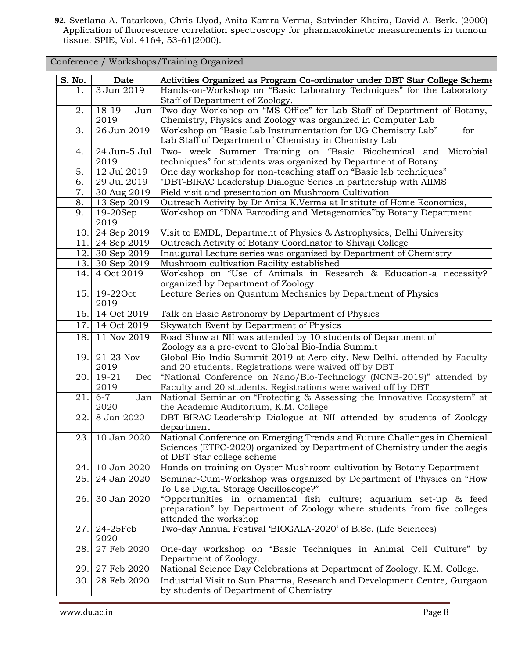**92.** Svetlana A. Tatarkova, Chris Llyod, Anita Kamra Verma, Satvinder Khaira, David A. Berk. (2000) Application of fluorescence correlation spectroscopy for pharmacokinetic measurements in tumour tissue. SPIE, Vol. 4164, 53-61(2000).

| Conference / Workshops/Training Organized |                            |                                                                                                                                       |  |  |
|-------------------------------------------|----------------------------|---------------------------------------------------------------------------------------------------------------------------------------|--|--|
| S. No.                                    | Date                       | Activities Organized as Program Co-ordinator under DBT Star College Scheme                                                            |  |  |
| 1.                                        | 3 Jun 2019                 | Hands-on-Workshop on "Basic Laboratory Techniques" for the Laboratory<br>Staff of Department of Zoology.                              |  |  |
| 2.                                        | 18-19<br>Jun               | Two-day Workshop on "MS Office" for Lab Staff of Department of Botany,                                                                |  |  |
|                                           | 2019                       | Chemistry, Physics and Zoology was organized in Computer Lab                                                                          |  |  |
| 3.                                        | 26 Jun 2019                | Workshop on "Basic Lab Instrumentation for UG Chemistry Lab"<br>for                                                                   |  |  |
|                                           |                            | Lab Staff of Department of Chemistry in Chemistry Lab                                                                                 |  |  |
| 4.                                        | 24 Jun-5 Jul<br>2019       | Two- week Summer Training on "Basic Biochemical and Microbial<br>techniques" for students was organized by Department of Botany       |  |  |
| 5.                                        | 12 Jul 2019                | One day workshop for non-teaching staff on "Basic lab techniques"                                                                     |  |  |
| 6.                                        | 29 Jul 2019                | "DBT-BIRAC Leadership Dialogue Series in partnership with AIIMS                                                                       |  |  |
| 7.                                        | 30 Aug 2019                | Field visit and presentation on Mushroom Cultivation                                                                                  |  |  |
| 8.                                        | 13 Sep 2019                | Outreach Activity by Dr Anita K.Verma at Institute of Home Economics,                                                                 |  |  |
| 9.                                        | $19-20$ Sep<br>2019        | Workshop on "DNA Barcoding and Metagenomics" by Botany Department                                                                     |  |  |
| 10.                                       | 24 Sep 2019                | Visit to EMDL, Department of Physics & Astrophysics, Delhi University                                                                 |  |  |
| 11.                                       | 24 Sep 2019                | Outreach Activity of Botany Coordinator to Shivaji College                                                                            |  |  |
| 12.                                       | 30 Sep 2019                | Inaugural Lecture series was organized by Department of Chemistry                                                                     |  |  |
| 13.                                       | 30 Sep 2019                | Mushroom cultivation Facility established                                                                                             |  |  |
| 14.                                       | 4 Oct 2019                 | Workshop on "Use of Animals in Research & Education-a necessity?<br>organized by Department of Zoology                                |  |  |
| 15.                                       | 19-220ct<br>2019           | Lecture Series on Quantum Mechanics by Department of Physics                                                                          |  |  |
| 16.                                       | 14 Oct 2019                | Talk on Basic Astronomy by Department of Physics                                                                                      |  |  |
| 17.                                       | 14 Oct 2019                | Skywatch Event by Department of Physics                                                                                               |  |  |
| 18.                                       | 11 Nov 2019                | Road Show at NII was attended by 10 students of Department of                                                                         |  |  |
|                                           |                            | Zoology as a pre-event to Global Bio-India Summit                                                                                     |  |  |
| 19.                                       | 21-23 Nov                  | Global Bio-India Summit 2019 at Aero-city, New Delhi. attended by Faculty                                                             |  |  |
|                                           | 2019<br>$\overline{19-21}$ | and 20 students. Registrations were waived off by DBT                                                                                 |  |  |
| 20.                                       | Dec<br>2019                | "National Conference on Nano/Bio-Technology (NCNB-2019)" attended by<br>Faculty and 20 students. Registrations were waived off by DBT |  |  |
| 21.                                       | $6 - 7$<br>Jan             | National Seminar on "Protecting & Assessing the Innovative Ecosystem" at                                                              |  |  |
|                                           | 2020                       | the Academic Auditorium, K.M. College                                                                                                 |  |  |
| 22.                                       | 8 Jan 2020                 | DBT-BIRAC Leadership Dialogue at NII attended by students of Zoology                                                                  |  |  |
| 23.                                       | 10 Jan 2020                | department<br>National Conference on Emerging Trends and Future Challenges in Chemical                                                |  |  |
|                                           |                            | Sciences (ETFC-2020) organized by Department of Chemistry under the aegis                                                             |  |  |
|                                           |                            | of DBT Star college scheme                                                                                                            |  |  |
| 24.                                       | 10 Jan 2020                | Hands on training on Oyster Mushroom cultivation by Botany Department                                                                 |  |  |
| 25.                                       | 24 Jan 2020                | Seminar-Cum-Workshop was organized by Department of Physics on "How                                                                   |  |  |
|                                           |                            | To Use Digital Storage Oscilloscope?"                                                                                                 |  |  |
| 26.                                       | 30 Jan 2020                | "Opportunities in ornamental fish culture; aquarium set-up & feed                                                                     |  |  |
|                                           |                            | preparation" by Department of Zoology where students from five colleges                                                               |  |  |
|                                           |                            | attended the workshop                                                                                                                 |  |  |
| 27.                                       | 24-25Feb<br>2020           | Two-day Annual Festival 'BIOGALA-2020' of B.Sc. (Life Sciences)                                                                       |  |  |
| 28.                                       | 27 Feb 2020                | One-day workshop on "Basic Techniques in Animal Cell Culture" by                                                                      |  |  |
|                                           |                            | Department of Zoology.                                                                                                                |  |  |
| 29.                                       | 27 Feb 2020                | National Science Day Celebrations at Department of Zoology, K.M. College.                                                             |  |  |
| 30.                                       | 28 Feb 2020                | Industrial Visit to Sun Pharma, Research and Development Centre, Gurgaon                                                              |  |  |
|                                           |                            | by students of Department of Chemistry                                                                                                |  |  |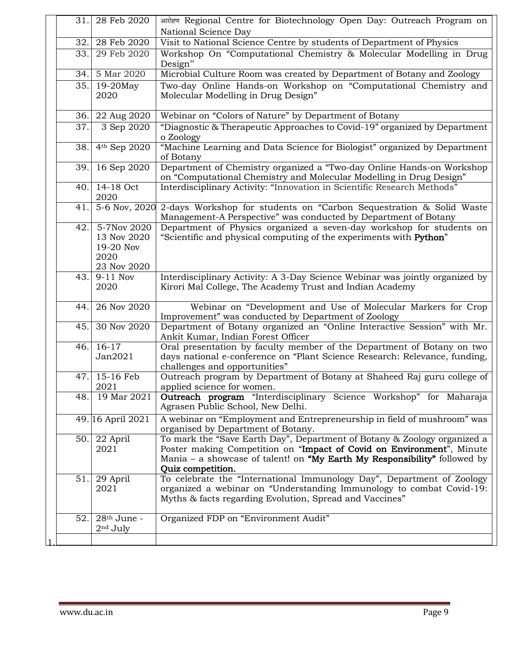| 31. | 28 Feb 2020                                                    | आरोहण Regional Centre for Biotechnology Open Day: Outreach Program on                                                                                                                                                                               |
|-----|----------------------------------------------------------------|-----------------------------------------------------------------------------------------------------------------------------------------------------------------------------------------------------------------------------------------------------|
|     |                                                                | National Science Day                                                                                                                                                                                                                                |
| 32. | 28 Feb 2020                                                    | Visit to National Science Centre by students of Department of Physics                                                                                                                                                                               |
| 33. | 29 Feb 2020                                                    | Workshop On "Computational Chemistry & Molecular Modelling in Drug<br>Design"                                                                                                                                                                       |
| 34. | 5 Mar 2020                                                     | Microbial Culture Room was created by Department of Botany and Zoology                                                                                                                                                                              |
| 35. | $19-20$ May<br>2020                                            | Two-day Online Hands-on Workshop on "Computational Chemistry and<br>Molecular Modelling in Drug Design"                                                                                                                                             |
| 36. | 22 Aug 2020                                                    | Webinar on "Colors of Nature" by Department of Botany                                                                                                                                                                                               |
| 37. | 3 Sep 2020                                                     | "Diagnostic & Therapeutic Approaches to Covid-19" organized by Department<br>o Zoology                                                                                                                                                              |
| 38. | 4th Sep 2020                                                   | "Machine Learning and Data Science for Biologist" organized by Department<br>of Botany                                                                                                                                                              |
| 39. | 16 Sep 2020                                                    | Department of Chemistry organized a "Two-day Online Hands-on Workshop<br>on "Computational Chemistry and Molecular Modelling in Drug Design"                                                                                                        |
| 40. | 14-18 Oct<br>2020                                              | Interdisciplinary Activity: "Innovation in Scientific Research Methods"                                                                                                                                                                             |
| 41. | 5-6 Nov, 2020                                                  | 2-days Workshop for students on "Carbon Sequestration & Solid Waste<br>Management-A Perspective" was conducted by Department of Botany                                                                                                              |
| 42. | 5-7Nov 2020<br>13 Nov 2020<br>19-20 Nov<br>2020<br>23 Nov 2020 | Department of Physics organized a seven-day workshop for students on<br>"Scientific and physical computing of the experiments with Python"                                                                                                          |
| 43. | $9-11$ Nov<br>2020                                             | Interdisciplinary Activity: A 3-Day Science Webinar was jointly organized by<br>Kirori Mal College, The Academy Trust and Indian Academy                                                                                                            |
| 44. | 26 Nov 2020                                                    | Webinar on "Development and Use of Molecular Markers for Crop<br>Improvement" was conducted by Department of Zoology                                                                                                                                |
| 45. | 30 Nov 2020                                                    | Department of Botany organized an "Online Interactive Session" with Mr.<br>Ankit Kumar, Indian Forest Officer                                                                                                                                       |
| 46. | $16-17$<br>Jan2021                                             | Oral presentation by faculty member of the Department of Botany on two<br>days national e-conference on "Plant Science Research: Relevance, funding,<br>challenges and opportunities"                                                               |
| 47. | 15-16 Feb<br>2021                                              | Outreach program by Department of Botany at Shaheed Raj guru college of<br>applied science for women.                                                                                                                                               |
| 48. | 19 Mar 2021                                                    | Outreach program "Interdisciplinary Science Workshop" for Maharaja<br>Agrasen Public School, New Delhi.                                                                                                                                             |
|     | 49. 16 April 2021                                              | A webinar on "Employment and Entrepreneurship in field of mushroom" was<br>organised by Department of Botany.                                                                                                                                       |
|     | 50. 22 April<br>2021                                           | To mark the "Save Earth Day", Department of Botany & Zoology organized a<br>Poster making Competition on "Impact of Covid on Environment", Minute<br>Mania – a showcase of talent! on "My Earth My Responsibility" followed by<br>Quiz competition. |
| 51. | 29 April<br>2021                                               | To celebrate the "International Immunology Day", Department of Zoology<br>organized a webinar on "Understanding Immunology to combat Covid-19:<br>Myths & facts regarding Evolution, Spread and Vaccines"                                           |
| 52. | $28th$ June -<br>$2nd$ July                                    | Organized FDP on "Environment Audit"                                                                                                                                                                                                                |
|     |                                                                |                                                                                                                                                                                                                                                     |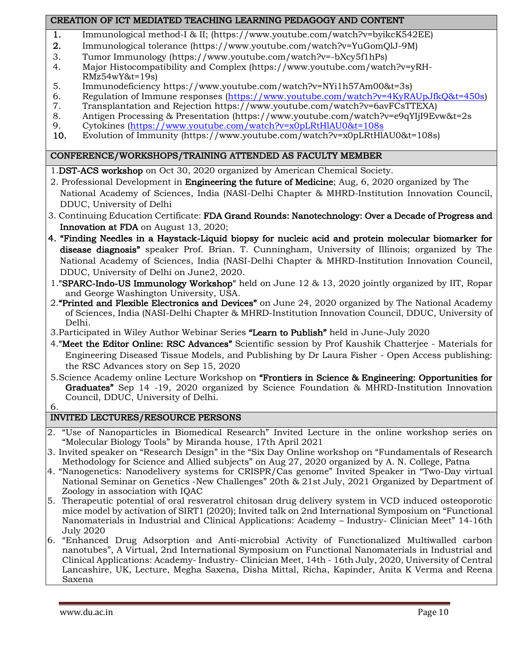#### CREATION OF ICT MEDIATED TEACHING LEARNING PEDAGOGY AND CONTENT

- 1. Immunological method-I & II; [\(https://www.youtube.com/watch?v=byikcK542EE\)](https://www.youtube.com/watch?v=byikcK542EE)
- 2. Immunological tolerance [\(https://www.youtube.com/watch?v=YuGomQlJ-9M\)](https://www.youtube.com/watch?v=YuGomQlJ-9M)
- 3. Tumor Immunology [\(https://www.youtube.com/watch?v=-bXcy5f1hPs\)](https://www.youtube.com/watch?v=-bXcy5f1hPs)
- 4. Major Histocompatibility and Complex [\(https://www.youtube.com/watch?v=yRH-](https://www.youtube.com/watch?v=yRH-RMz54wY&t=19s)[RMz54wY&t=19s\)](https://www.youtube.com/watch?v=yRH-RMz54wY&t=19s)
- 5. Immunodeficiency [https://www.youtube.com/watch?v=NYi1h57Am00&t=3s\)](https://www.youtube.com/watch?v=NYi1h57Am00&t=3s)
- 6. Regulation of Immune responses [\(https://www.youtube.com/watch?v=4KyRAUpJfkQ&t=450s\)](https://www.youtube.com/watch?v=4KyRAUpJfkQ&t=450s)
- 7. Transplantation and Rejection [https://www.youtube.com/watch?v=6avFCsTTEXA\)](https://www.youtube.com/watch?v=6avFCsTTEXA)
- 8. Antigen Processing & Presentation [\(https://www.youtube.com/watch?v=e9qYIjI9Evw&t=2s](https://www.youtube.com/watch?v=e9qYIjI9Evw&t=2s)
- 9. Cytokines [\(https://www.youtube.com/watch?v=x0pLRtHlAU0&t=108s](https://www.youtube.com/watch?v=x0pLRtHlAU0&t=108s)
- 10. Evolution of Immunity [\(https://www.youtube.com/watch?v=x0pLRtHlAU0&t=108s\)](https://www.youtube.com/watch?v=x0pLRtHlAU0&t=108s)

#### CONFERENCE/WORKSHOPS/TRAINING ATTENDED AS FACULTY MEMBER

1.DST-ACS workshop on Oct 30, 2020 organized by American Chemical Society.

- 2. Professional Development in Engineering the future of Medicine; Aug, 6, 2020 organized by The National Academy of Sciences, India (NASI-Delhi Chapter & MHRD-Institution Innovation Council, DDUC, University of Delhi
- 3. Continuing Education Certificate: FDA Grand Rounds: Nanotechnology: Over a Decade of Progress and Innovation at FDA on August 13, 2020;
- 4. "Finding Needles in a Haystack-Liquid biopsy for nucleic acid and protein molecular biomarker for disease diagnosis" speaker Prof. Brian. T. Cunningham, University of Illinois; organized by The National Academy of Sciences, India (NASI-Delhi Chapter & MHRD-Institution Innovation Council, DDUC, University of Delhi on June2, 2020.
- 1."SPARC-Indo-US Immunology Workshop" held on June 12 & 13, 2020 jointly organized by IIT, Ropar and George Washington University, USA.
- 2."Printed and Flexible Electronics and Devices" on June 24, 2020 organized by The National Academy of Sciences, India (NASI-Delhi Chapter & MHRD-Institution Innovation Council, DDUC, University of Delhi.
- 3. Participated in Wiley Author Webinar Series "Learn to Publish" held in June-July 2020
- 4."Meet the Editor Online: RSC Advances" Scientific session by Prof Kaushik Chatterjee Materials for Engineering Diseased Tissue Models, and Publishing by Dr Laura Fisher - Open Access publishing: the RSC Advances story on Sep 15, 2020
- 5.Science Academy online Lecture Workshop on "Frontiers in Science & Engineering: Opportunities for Graduates" Sep 14 -19, 2020 organized by Science Foundation & MHRD-Institution Innovation Council, DDUC, University of Delhi.
- 6.

# INVITED LECTURES/RESOURCE PERSONS

- 2. "Use of Nanoparticles in Biomedical Research" Invited Lecture in the online workshop series on "Molecular Biology Tools" by Miranda house, 17th April 2021
- 3. Invited speaker on "Research Design" in the "Six Day Online workshop on "Fundamentals of Research Methodology for Science and Allied subjects" on Aug 27, 2020 organized by A. N. College, Patna
- 4. "Nanogenetics: Nanodelivery systems for CRISPR/Cas genome" Invited Speaker in "Two-Day virtual National Seminar on Genetics -New Challenges" 20th & 21st July, 2021 Organized by Department of Zoology in association with IQAC
- 5. Therapeutic potential of oral resveratrol chitosan drug delivery system in VCD induced osteoporotic mice model by activation of SIRT1 (2020); Invited talk on 2nd International Symposium on "Functional Nanomaterials in Industrial and Clinical Applications: Academy – Industry- Clinician Meet" 14-16th July 2020
- 6. "Enhanced Drug Adsorption and Anti-microbial Activity of Functionalized Multiwalled carbon nanotubes", A Virtual, 2nd International Symposium on Functional Nanomaterials in Industrial and Clinical Applications: Academy- Industry- Clinician Meet, 14th - 16th July, 2020, University of Central Lancashire, UK, Lecture, Megha Saxena, Disha Mittal, Richa, Kapinder, Anita K Verma and Reena Saxena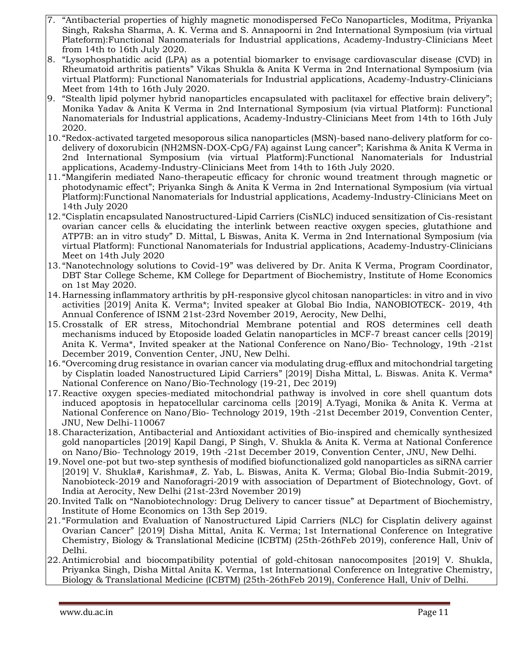- 7. "Antibacterial properties of highly magnetic monodispersed FeCo Nanoparticles, Moditma, Priyanka Singh, Raksha Sharma, A. K. Verma and S. Annapoorni in 2nd International Symposium (via virtual Plateform):Functional Nanomaterials for Industrial applications, Academy-Industry-Clinicians Meet from 14th to 16th July 2020.
- 8. "Lysophosphatidic acid (LPA) as a potential biomarker to envisage cardiovascular disease (CVD) in Rheumatoid arthritis patients" Vikas Shukla & Anita K Verma in 2nd International Symposium (via virtual Platform): Functional Nanomaterials for Industrial applications, Academy-Industry-Clinicians Meet from 14th to 16th July 2020.
- 9. "Stealth lipid polymer hybrid nanoparticles encapsulated with paclitaxel for effective brain delivery"; Monika Yadav & Anita K Verma in 2nd International Symposium (via virtual Platform): Functional Nanomaterials for Industrial applications, Academy-Industry-Clinicians Meet from 14th to 16th July 2020.
- 10. "Redox-activated targeted mesoporous silica nanoparticles (MSN)-based nano-delivery platform for codelivery of doxorubicin (NH2MSN-DOX-CpG/FA) against Lung cancer"; Karishma & Anita K Verma in 2nd International Symposium (via virtual Platform):Functional Nanomaterials for Industrial applications, Academy-Industry-Clinicians Meet from 14th to 16th July 2020.
- 11. "Mangiferin mediated Nano-therapeutic efficacy for chronic wound treatment through magnetic or photodynamic effect"; Priyanka Singh & Anita K Verma in 2nd International Symposium (via virtual Platform):Functional Nanomaterials for Industrial applications, Academy-Industry-Clinicians Meet on 14th July 2020
- 12. "Cisplatin encapsulated Nanostructured-Lipid Carriers (CisNLC) induced sensitization of Cis-resistant ovarian cancer cells & elucidating the interlink between reactive oxygen species, glutathione and ATP7B: an in vitro study" D. Mittal, L Biswas, Anita K. Verma in 2nd International Symposium (via virtual Platform): Functional Nanomaterials for Industrial applications, Academy-Industry-Clinicians Meet on 14th July 2020
- 13. "Nanotechnology solutions to Covid-19" was delivered by Dr. Anita K Verma, Program Coordinator, DBT Star College Scheme, KM College for Department of Biochemistry, Institute of Home Economics on 1st May 2020.
- 14. Harnessing inflammatory arthritis by pH-responsive glycol chitosan nanoparticles: in vitro and in vivo activities [2019] Anita K. Verma\*; Invited speaker at Global Bio India, NANOBIOTECK- 2019, 4th Annual Conference of ISNM 21st-23rd November 2019, Aerocity, New Delhi,
- 15.Crosstalk of ER stress, Mitochondrial Membrane potential and ROS determines cell death mechanisms induced by Etoposide loaded Gelatin nanoparticles in MCF-7 breast cancer cells [2019] Anita K. Verma\*, Invited speaker at the National Conference on Nano/Bio- Technology, 19th -21st December 2019, Convention Center, JNU, New Delhi.
- 16. "Overcoming drug resistance in ovarian cancer via modulating drug-efflux and mitochondrial targeting by Cisplatin loaded Nanostructured Lipid Carriers" [2019] Disha Mittal, L. Biswas. Anita K. Verma\* National Conference on Nano/Bio-Technology (19-21, Dec 2019)
- 17.Reactive oxygen species-mediated mitochondrial pathway is involved in core shell quantum dots induced apoptosis in hepatocellular carcinoma cells [2019] A.Tyagi, Monika & Anita K. Verma at National Conference on Nano/Bio- Technology 2019, 19th -21st December 2019, Convention Center, JNU, New Delhi-110067
- 18.Characterization, Antibacterial and Antioxidant activities of Bio-inspired and chemically synthesized gold nanoparticles [2019] Kapil Dangi, P Singh, V. Shukla & Anita K. Verma at National Conference on Nano/Bio- Technology 2019, 19th -21st December 2019, Convention Center, JNU, New Delhi.
- 19.Novel one-pot but two-step synthesis of modified biofunctionalized gold nanoparticles as siRNA carrier [2019] V. Shukla#, Karishma#, Z. Yab, L. Biswas, Anita K. Verma; Global Bio-India Submit-2019, Nanobioteck-2019 and Nanoforagri-2019 with association of Department of Biotechnology, Govt. of India at Aerocity, New Delhi (21st-23rd November 2019)
- 20.Invited Talk on "Nanobiotechnology: Drug Delivery to cancer tissue" at Department of Biochemistry, Institute of Home Economics on 13th Sep 2019.
- 21. "Formulation and Evaluation of Nanostructured Lipid Carriers (NLC) for Cisplatin delivery against Ovarian Cancer" [2019] Disha Mittal, Anita K. Verma; 1st International Conference on Integrative Chemistry, Biology & Translational Medicine (ICBTM) (25th-26thFeb 2019), conference Hall, Univ of Delhi.
- 22.Antimicrobial and biocompatibility potential of gold-chitosan nanocomposites [2019] V. Shukla, Priyanka Singh, Disha Mittal Anita K. Verma, 1st International Conference on Integrative Chemistry, Biology & Translational Medicine (ICBTM) (25th-26thFeb 2019), Conference Hall, Univ of Delhi.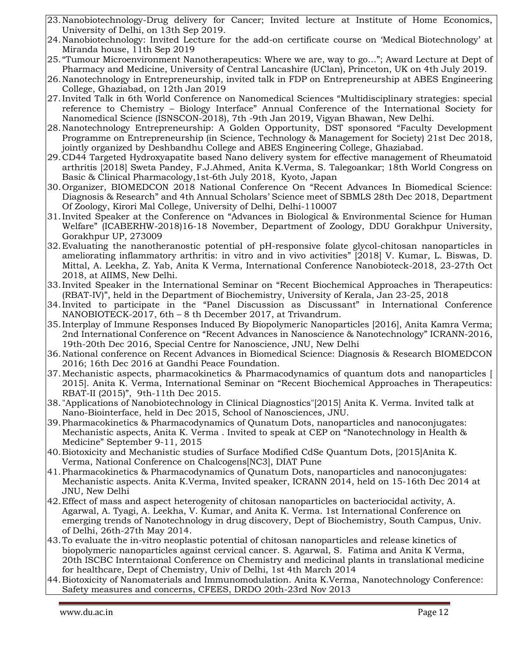- 23.Nanobiotechnology-Drug delivery for Cancer; Invited lecture at Institute of Home Economics, University of Delhi, on 13th Sep 2019.
- 24.Nanobiotechnology: Invited Lecture for the add-on certificate course on 'Medical Biotechnology' at Miranda house, 11th Sep 2019
- 25. "Tumour Microenvironment Nanotherapeutics: Where we are, way to go…"; Award Lecture at Dept of Pharmacy and Medicine, University of Central Lancashire (UClan), Princeton, UK on 4th July 2019.
- 26.Nanotechnology in Entrepreneurship, invited talk in FDP on Entrepreneurship at ABES Engineering College, Ghaziabad, on 12th Jan 2019
- 27.Invited Talk in 6th World Conference on Nanomedical Sciences "Multidisciplinary strategies: special reference to Chemistry – Biology Interface" Annual Conference of the International Society for Nanomedical Science (ISNSCON-2018), 7th -9th Jan 2019, Vigyan Bhawan, New Delhi.
- 28.Nanotechnology Entrepreneurship: A Golden Opportunity, DST sponsored "Faculty Development Programme on Entrepreneurship (in Science, Technology & Management for Society) 21st Dec 2018, jointly organized by Deshbandhu College and ABES Engineering College, Ghaziabad.
- 29.CD44 Targeted Hydroxyapatite based Nano delivery system for effective management of Rheumatoid arthritis [2018] Sweta Pandey, F.J.Ahmed, Anita K.Verma, S. Talegoankar; 18th World Congress on Basic & Clinical Pharmacology,1st-6th July 2018, Kyoto, Japan
- 30. Organizer, BIOMEDCON 2018 National Conference On "Recent Advances In Biomedical Science: Diagnosis & Research" and 4th Annual Scholars' Science meet of SBMLS 28th Dec 2018, Department Of Zoology, Kirori Mal College, University of Delhi, Delhi-110007
- 31.Invited Speaker at the Conference on "Advances in Biological & Environmental Science for Human Welfare" (ICABERHW-2018)16-18 November, Department of Zoology, DDU Gorakhpur University, Gorakhpur UP, 273009
- 32.Evaluating the nanotheranostic potential of pH-responsive folate glycol-chitosan nanoparticles in ameliorating inflammatory arthritis: in vitro and in vivo activities" [2018] V. Kumar, L. Biswas, D. Mittal, A. Leekha, Z. Yab, Anita K Verma, International Conference Nanobioteck-2018, 23-27th Oct 2018, at AIIMS, New Delhi.
- 33.Invited Speaker in the International Seminar on "Recent Biochemical Approaches in Therapeutics: (RBAT-IV)", held in the Department of Biochemistry, University of Kerala, Jan 23-25, 2018
- 34.Invited to participate in the "Panel Discussion as Discussant" in International Conference NANOBIOTECK-2017, 6th – 8 th December 2017, at Trivandrum.
- 35[.Interplay of Immune Responses Induced By Biopolymeric Nanoparticles \[2016\], A](https://www.researchgate.net/publication/305720515_INTERPLAY_OF_IMMUNE_RESPONSE_AND_OXIDATIVE_STRESS_INDUCED_BY_CHITOSAN_NANOPARTICLES_TO_POSSIBLY_COMBAT_INFLAMMATION?ev=prf_pub)nita Kamra Verma; 2nd International Conference on "Recent Advances in Nanoscience & Nanotechnology" ICRANN-2016, 19th-20th Dec 2016, Special Centre for Nanoscience, JNU, New Delhi
- 36.National conference on Recent Advances in Biomedical Science: Diagnosis & Research BIOMEDCON 2016; 16th Dec 2016 at Gandhi Peace Foundation.
- 37.Mechanistic aspects, pharmacokinetics & Pharmacodynamics of quantum dots and nanoparticles [ 2015]. Anita K. Verma, International Seminar on "Recent Biochemical Approaches in Therapeutics: RBAT-II (2015)", 9th-11th Dec 2015.
- 38."Applications of Nanobiotechnology in Clinical Diagnostics"[2015] Anita K. Verma. Invited talk at Nano-Biointerface, held in Dec 2015, School of Nanosciences, JNU.
- 39.Pharmacokinetics & Pharmacodynamics of Qunatum Dots, nanoparticles and nanoconjugates: Mechanistic aspects, Anita K. Verma . Invited to speak at CEP on "Nanotechnology in Health & Medicine" September 9-11, 2015
- 40.Biotoxicity and Mechanistic studies of Surface Modified CdSe Quantum Dots, [2015]Anita K. Verma, National Conference on Chalcogens[NC3], DIAT Pune
- 41.Pharmacokinetics & Pharmacodynamics of Qunatum Dots, nanoparticles and nanoconjugates: Mechanistic aspects. Anita K.Verma, Invited speaker, ICRANN 2014, held on 15-16th Dec 2014 at JNU, New Delhi
- 42.Effect of mass and aspect heterogenity of chitosan nanoparticles on bacteriocidal activity, A. Agarwal, A. Tyagi, A. Leekha, V. Kumar, and Anita K. Verma. 1st International Conference on emerging trends of Nanotechnology in drug discovery, Dept of Biochemistry, South Campus, Univ. of Delhi, 26th-27th May 2014.
- 43.To evaluate the in-vitro neoplastic potential of chitosan nanoparticles and release kinetics of biopolymeric nanoparticles against cervical cancer. S. Agarwal, S. Fatima and Anita K Verma, 20th ISCBC Interntaional Conference on Chemistry and medicinal plants in translational medicine for healthcare, Dept of Chemistry, Univ of Delhi, 1st 4th March 2014
- 44.Biotoxicity of Nanomaterials and Immunomodulation. Anita K.Verma, Nanotechnology Conference: Safety measures and concerns, CFEES, DRDO 20th-23rd Nov 2013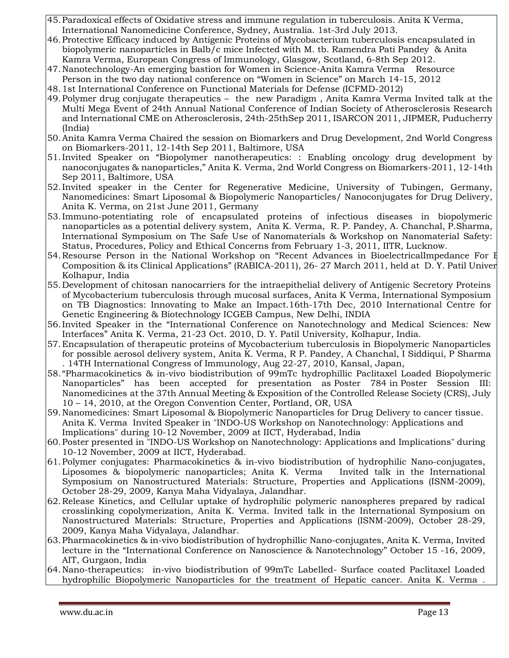- 45.Paradoxical effects of Oxidative stress and immune regulation in tuberculosis. Anita K Verma, International Nanomedicine Conference, Sydney, Australia. 1st-3rd July 2013.
- 46.Protective Efficacy induced by Antigenic Proteins of Mycobacterium tuberculosis encapsulated in biopolymeric nanoparticles in Balb/c mice Infected with M. tb. Ramendra Pati Pandey & Anita Kamra Verma, European Congress of Immunology, Glasgow, Scotland, 6-8th Sep 2012.
- 47.Nanotechnology-An emerging bastion for Women in Science-Anita Kamra Verma Resource Person in the two day national conference on "Women in Science" on March 14-15, 2012
- 48.1st International Conference on Functional Materials for Defense (ICFMD-2012)
- 49.Polymer drug conjugate therapeutics the new Paradigm , Anita Kamra Verma Invited talk at the Multi Mega Event of 24th Annual National Conference of Indian Society of Atherosclerosis Research and International CME on Atherosclerosis, 24th-25thSep 2011, ISARCON 2011, JIPMER, Puducherry (India)
- 50.Anita Kamra Verma Chaired the session on Biomarkers and Drug Development, 2nd World Congress on Biomarkers-2011, 12-14th Sep 2011, Baltimore, USA
- 51.Invited Speaker on "Biopolymer nanotherapeutics: : Enabling oncology drug development by nanoconjugates & nanoparticles," Anita K. Verma, 2nd World Congress on Biomarkers-2011, 12-14th Sep 2011, Baltimore, USA
- 52.Invited speaker in the Center for Regenerative Medicine, University of Tubingen, Germany, Nanomedicines: Smart Liposomal & Biopolymeric Nanoparticles/ Nanoconjugates for Drug Delivery, Anita K. Verma, on 21st June 2011, Germany
- 53.Immuno-potentiating role of encapsulated proteins of infectious diseases in biopolymeric nanoparticles as a potential delivery system, Anita K. Verma, R. P. Pandey, A. Chanchal, P.Sharma, International Symposium on The Safe Use of Nanomaterials & Workshop on Nanomaterial Safety: Status, Procedures, Policy and Ethical Concerns from February 1-3, 2011, IITR, Lucknow.
- 54. Resourse Person in the National Workshop on "Recent Advances in BioelectricalImpedance For E Composition & its Clinical Applications" (RABICA-2011), 26- 27 March 2011, held at D.Y. Patil Univer Kolhapur, India
- 55. Development of chitosan nanocarriers for the intraepithelial delivery of Antigenic Secretory Proteins of Mycobacterium tuberculosis through mucosal surfaces, Anita K Verma, International Symposium on TB Diagnostics: Innovating to Make an Impact.16th-17th Dec, 2010 International Centre for Genetic Engineering & Biotechnology ICGEB Campus, New Delhi, INDIA
- 56.Invited Speaker in the "International Conference on Nanotechnology and Medical Sciences: New Interfaces" Anita K. Verma, 21-23 Oct. 2010, D. Y. Patil University, Kolhapur, India.
- 57.Encapsulation of therapeutic proteins of Mycobacterium tuberculosis in Biopolymeric Nanoparticles for possible aerosol delivery system, Anita K. Verma, R P. Pandey, A Chanchal, I Siddiqui, P Sharma . 14TH International Congress of Immunology, Aug 22-27, 2010, Kansal, Japan,
- 58. "Pharmacokinetics & in-vivo biodistribution of 99mTc hydrophillic Paclitaxel Loaded Biopolymeric Nanoparticles" has been accepted for presentation as Poster 784 in Poster Session III: Nanomedicines at the 37th Annual Meeting & Exposition of the Controlled Release Society (CRS), July 10 – 14, 2010, at the Oregon Convention Center, Portland, OR, USA
- 59.Nanomedicines: Smart Liposomal & Biopolymeric Nanoparticles for Drug Delivery to cancer tissue. Anita K. Verma Invited Speaker in "INDO-US Workshop on Nanotechnology: Applications and Implications" during 10-12 November, 2009 at IICT, Hyderabad, India
- 60.Poster presented in "INDO-US Workshop on Nanotechnology: Applications and Implications" during 10-12 November, 2009 at IICT, Hyderabad.
- 61.Polymer conjugates: Pharmacokinetics & in-vivo biodistribution of hydrophilic Nano-conjugates, Liposomes & biopolymeric nanoparticles; Anita K. Verma Invited talk in the International Symposium on Nanostructured Materials: Structure, Properties and Applications (ISNM-2009), October 28-29, 2009, Kanya Maha Vidyalaya, Jalandhar.
- 62.Release Kinetics, and Cellular uptake of hydrophilic polymeric nanospheres prepared by radical crosslinking copolymerization, Anita K. Verma. Invited talk in the International Symposium on Nanostructured Materials: Structure, Properties and Applications (ISNM-2009), October 28-29, 2009, Kanya Maha Vidyalaya, Jalandhar.
- 63.Pharmacokinetics & in-vivo biodistribution of hydrophillic Nano-conjugates, Anita K. Verma, Invited lecture in the "International Conference on Nanoscience & Nanotechnology" October 15 -16, 2009, AIT, Gurgaon, India
- 64.Nano-therapeutics: in-vivo biodistribution of 99mTc Labelled- Surface coated Paclitaxel Loaded hydrophilic Biopolymeric Nanoparticles for the treatment of Hepatic cancer. Anita K. Verma .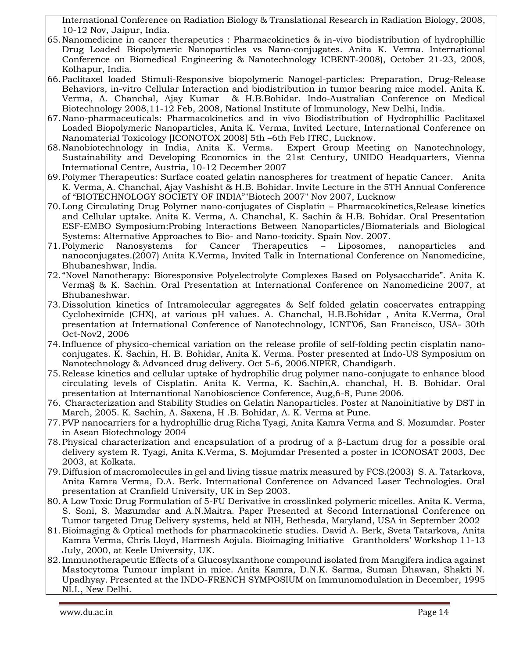International Conference on Radiation Biology & Translational Research in Radiation Biology, 2008, 10-12 Nov, Jaipur, India.

- 65.Nanomedicine in cancer therapeutics : Pharmacokinetics & in-vivo biodistribution of hydrophillic Drug Loaded Biopolymeric Nanoparticles vs Nano-conjugates. Anita K. Verma. International Conference on Biomedical Engineering & Nanotechnology ICBENT-2008), October 21-23, 2008, Kolhapur, India.
- 66.Paclitaxel loaded Stimuli-Responsive biopolymeric Nanogel-particles: Preparation, Drug-Release Behaviors, in-vitro Cellular Interaction and biodistribution in tumor bearing mice model. Anita K. Verma, A. Chanchal, Ajay Kumar & H.B.Bohidar. Indo-Australian Conference on Medical Biotechnology 2008,11-12 Feb, 2008, National Institute of Immunology, New Delhi, India.
- 67.Nano-pharmaceuticals: Pharmacokinetics and in vivo Biodistribution of Hydrophillic Paclitaxel Loaded Biopolymeric Nanoparticles, Anita K. Verma, Invited Lecture, International Conference on Nanomaterial Toxicology [ICONOTOX 2008] 5th –6th Feb ITRC, Lucknow.
- 68.Nanobiotechnology in India, Anita K. Verma. Expert Group Meeting on Nanotechnology, Sustainability and Developing Economics in the 21st Century, UNIDO Headquarters, Vienna International Centre, Austria, 10-12 December 2007
- 69.Polymer Therapeutics: Surface coated gelatin nanospheres for treatment of hepatic Cancer. Anita K. Verma, A. Chanchal, Ajay Vashisht & H.B. Bohidar. Invite Lecture in the 5TH Annual Conference of "BIOTECHNOLOGY SOCIETY OF INDIA""Biotech 2007" Nov 2007, Lucknow
- 70.Long Circulating Drug Polymer nano-conjugates of Cisplatin Pharmacokinetics,Release kinetics and Cellular uptake. Anita K. Verma, A. Chanchal, K. Sachin & H.B. Bohidar. Oral Presentation ESF-EMBO Symposium:Probing Interactions Between Nanoparticles/Biomaterials and Biological Systems: Alternative Approaches to Bio- and Nano-toxicity. Spain Nov. 2007.
- 71.Polymeric Nanosystems for Cancer Therapeutics Liposomes, nanoparticles and nanoconjugates.(2007) Anita K.Verma, Invited Talk in International Conference on Nanomedicine, Bhubaneshwar, India.
- 72. "Novel Nanotherapy: Bioresponsive Polyelectrolyte Complexes Based on Polysaccharide". Anita K. Verma§ & K. Sachin. Oral Presentation at International Conference on Nanomedicine 2007, at Bhubaneshwar.
- 73. Dissolution kinetics of Intramolecular aggregates & Self folded gelatin coacervates entrapping Cycloheximide (CHX), at various pH values. A. Chanchal, H.B.Bohidar , Anita K.Verma, Oral presentation at International Conference of Nanotechnology, ICNT'06, San Francisco, USA- 30th Oct-Nov2, 2006
- 74.Influence of physico-chemical variation on the release profile of self-folding pectin cisplatin nanoconjugates. K. Sachin, H. B. Bohidar, Anita K. Verma. Poster presented at Indo-US Symposium on Nanotechnology & Advanced drug delivery. Oct 5-6, 2006.NIPER, Chandigarh.
- 75.Release kinetics and cellular uptake of hydrophilic drug polymer nano-conjugate to enhance blood circulating levels of Cisplatin. Anita K. Verma, K. Sachin,A. chanchal, H. B. Bohidar. Oral presentation at Internantional Nanobioscience Conference, Aug,6-8, Pune 2006.
- 76. Characterization and Stability Studies on Gelatin Nanoparticles. Poster at Nanoinitiative by DST in March, 2005. K. Sachin, A. Saxena, H .B. Bohidar, A. K. Verma at Pune.
- 77.PVP nanocarriers for a hydrophillic drug Richa Tyagi, Anita Kamra Verma and S. Mozumdar. Poster in Asean Biotechnology 2004
- 78.Physical characterization and encapsulation of a prodrug of a β-Lactum drug for a possible oral delivery system R. Tyagi, Anita K.Verma, S. Mojumdar Presented a poster in ICONOSAT 2003, Dec 2003, at Kolkata.
- 79. Diffusion of macromolecules in gel and living tissue matrix measured by FCS.(2003) S. A. Tatarkova, Anita Kamra Verma, D.A. Berk. International Conference on Advanced Laser Technologies. Oral presentation at Cranfield University, UK in Sep 2003.
- 80.A Low Toxic Drug Formulation of 5-FU Derivative in crosslinked polymeric micelles. Anita K. Verma, S. Soni, S. Mazumdar and A.N.Maitra. Paper Presented at Second International Conference on Tumor targeted Drug Delivery systems, held at NIH, Bethesda, Maryland, USA in September 2002
- 81.Bioimaging & Optical methods for pharmacokinetic studies. David A. Berk, Sveta Tatarkova, Anita Kamra Verma, Chris Lloyd, Harmesh Aojula. Bioimaging Initiative Grantholders' Workshop 11-13 July, 2000, at Keele University, UK.
- 82.Immunotherapeutic Effects of a GlucosyIxanthone compound isolated from Mangifera indica against Mastocytoma Tumour implant in mice. Anita Kamra, D.N.K. Sarma, Suman Dhawan, Shakti N. Upadhyay. Presented at the INDO-FRENCH SYMPOSIUM on Immunomodulation in December, 1995 NI.I., New Delhi.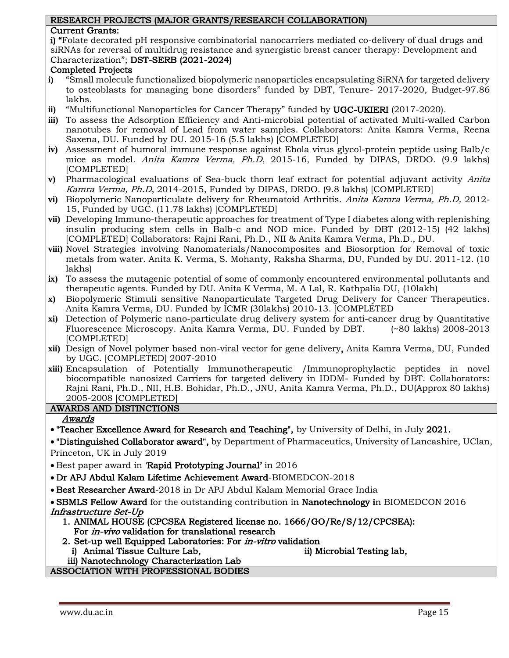#### RESEARCH PROJECTS (MAJOR GRANTS/RESEARCH COLLABORATION)

#### Current Grants:

i) "Folate decorated pH responsive combinatorial nanocarriers mediated co-delivery of dual drugs and siRNAs for reversal of multidrug resistance and synergistic breast cancer therapy: Development and Characterization"; DST-SERB (2021-2024)

#### Completed Projects

- **i)** "Small molecule functionalized biopolymeric nanoparticles encapsulating SiRNA for targeted delivery to osteoblasts for managing bone disorders" funded by DBT, Tenure- 2017-2020, Budget-97.86 lakhs.
- **ii)** "Multifunctional Nanoparticles for Cancer Therapy" funded by UGC-UKIERI (2017-2020).
- **iii)** To assess the Adsorption Efficiency and Anti-microbial potential of activated Multi-walled Carbon nanotubes for removal of Lead from water samples. Collaborators: Anita Kamra Verma, Reena Saxena, DU. Funded by DU. 2015-16 (5.5 lakhs) [COMPLETED]
- **iv)** Assessment of humoral immune response against Ebola virus glycol-protein peptide using Balb/c mice as model. Anita Kamra Verma, Ph.D, 2015-16, Funded by DIPAS, DRDO. (9.9 lakhs) [COMPLETED]
- **v)** Pharmacological evaluations of Sea-buck thorn leaf extract for potential adjuvant activity Anita Kamra Verma, Ph.D, 2014-2015, Funded by DIPAS, DRDO. (9.8 lakhs) [COMPLETED]
- **vi)** Biopolymeric Nanoparticulate delivery for Rheumatoid Arthritis. Anita Kamra Verma, Ph.D, 2012- 15, Funded by UGC. (11.78 lakhs) [COMPLETED]
- **vii)** Developing Immuno-therapeutic approaches for treatment of Type I diabetes along with replenishing insulin producing stem cells in Balb-c and NOD mice. Funded by DBT (2012-15) (42 lakhs) [COMPLETED] Collaborators: Rajni Rani, Ph.D., NII & Anita Kamra Verma, Ph.D., DU.
- **viii)** Novel Strategies involving Nanomaterials/Nanocomposites and Biosorption for Removal of toxic metals from water. Anita K. Verma, S. Mohanty, Raksha Sharma, DU, Funded by DU. 2011-12. (10 lakhs)
- **ix)** To assess the mutagenic potential of some of commonly encountered environmental pollutants and therapeutic agents. Funded by DU. Anita K Verma, M. A Lal, R. Kathpalia DU, (10lakh)
- **x)** Biopolymeric Stimuli sensitive Nanoparticulate Targeted Drug Delivery for Cancer Therapeutics. Anita Kamra Verma, DU. Funded by ICMR (30lakhs) 2010-13. [COMPLETED
- **xi)** Detection of Polymeric nano-particulate drug delivery system for anti-cancer drug by Quantitative Fluorescence Microscopy. Anita Kamra Verma, DU. Funded by DBT. (~80 lakhs) 2008-2013 [COMPLETED]
- **xii)** Design of Novel polymer based non-viral vector for gene delivery, Anita Kamra Verma, DU, Funded by UGC. [COMPLETED] 2007-2010
- **xiii)** Encapsulation of Potentially Immunotherapeutic /Immunoprophylactic peptides in novel biocompatible nanosized Carriers for targeted delivery in IDDM- Funded by DBT. Collaborators: Rajni Rani, Ph.D., NII, H.B. Bohidar, Ph.D., JNU, Anita Kamra Verma, Ph.D., DU(Approx 80 lakhs) 2005-2008 [COMPLETED]

#### AWARDS AND DISTINCTIONS

#### Awards

• "Teacher Excellence Award for Research and Teaching", by University of Delhi, in July 2021.

• "Distinguished Collaborator award", by Department of Pharmaceutics, University of Lancashire, UClan, Princeton, UK in July 2019

• Best paper award in 'Rapid Prototyping Journal' in 2016

• Dr APJ Abdul Kalam Lifetime Achievement Award-BIOMEDCON-2018

• Best Researcher Award-2018 in Dr APJ Abdul Kalam Memorial Grace India

• SBMLS Fellow Award for the outstanding contribution in Nanotechnology in BIOMEDCON 2016 Infrastructure Set-Up

- 1. ANIMAL HOUSE (CPCSEA Registered license no. 1666/GO/Re/S/12/CPCSEA): For in-vivo validation for translational research
- 2. Set-up well Equipped Laboratories: For *in-vitro* validation
	- i) Animal Tissue Culture Lab, iii) Microbial Testing lab,

iii) Nanotechnology Characterization Lab ASSOCIATION WITH PROFESSIONAL BODIES